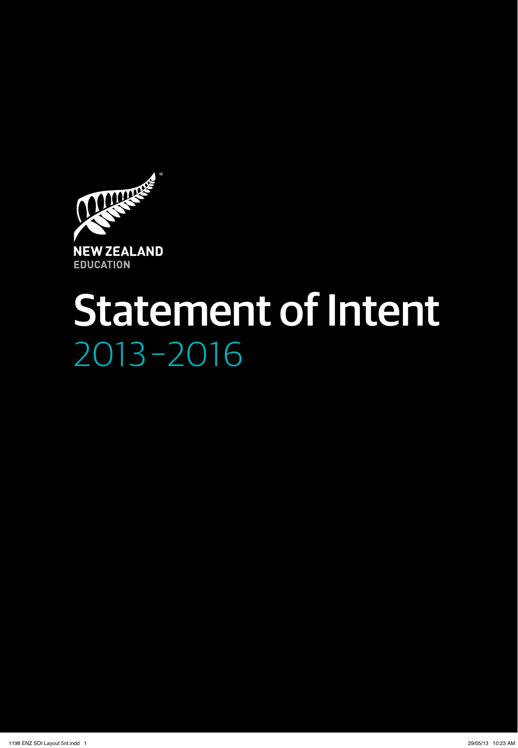

# 2013 –2016 Statement of Intent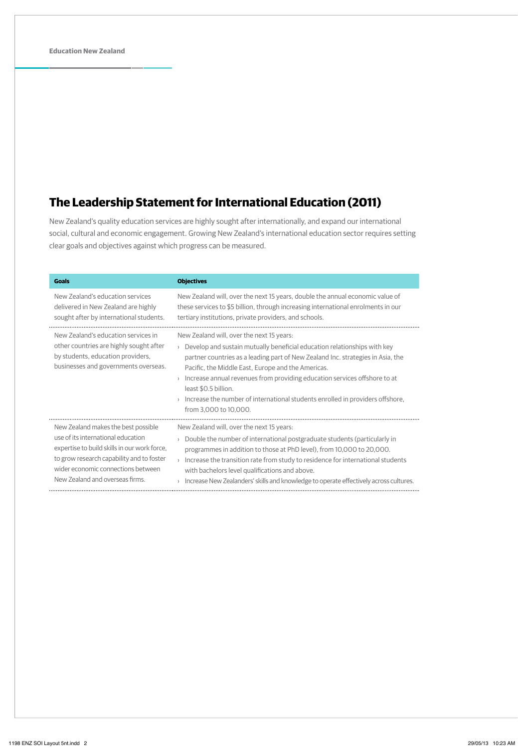## **The Leadership Statement for International Education (2011)**

New Zealand's quality education services are highly sought after internationally, and expand our international social, cultural and economic engagement. Growing New Zealand's international education sector requires setting clear goals and objectives against which progress can be measured.

| <b>Goals</b>                                                                                                                                                | <b>Objectives</b>                                                                                                                                                                                                                                                                                                                                                                                                                                                             |
|-------------------------------------------------------------------------------------------------------------------------------------------------------------|-------------------------------------------------------------------------------------------------------------------------------------------------------------------------------------------------------------------------------------------------------------------------------------------------------------------------------------------------------------------------------------------------------------------------------------------------------------------------------|
| New Zealand's education services                                                                                                                            | New Zealand will, over the next 15 years, double the annual economic value of                                                                                                                                                                                                                                                                                                                                                                                                 |
| delivered in New Zealand are highly                                                                                                                         | these services to \$5 billion, through increasing international enrolments in our                                                                                                                                                                                                                                                                                                                                                                                             |
| sought after by international students.                                                                                                                     | tertiary institutions, private providers, and schools.                                                                                                                                                                                                                                                                                                                                                                                                                        |
| New Zealand's education services in<br>other countries are highly sought after<br>by students, education providers,<br>businesses and governments overseas. | New Zealand will, over the next 15 years:<br>Develop and sustain mutually beneficial education relationships with key<br>partner countries as a leading part of New Zealand Inc. strategies in Asia, the<br>Pacific, the Middle East, Europe and the Americas.<br>Increase annual revenues from providing education services offshore to at<br>least \$0.5 billion.<br>Increase the number of international students enrolled in providers offshore,<br>from 3,000 to 10,000. |
| New Zealand makes the best possible                                                                                                                         | New Zealand will, over the next 15 years:                                                                                                                                                                                                                                                                                                                                                                                                                                     |
| use of its international education                                                                                                                          | Double the number of international postgraduate students (particularly in                                                                                                                                                                                                                                                                                                                                                                                                     |
| expertise to build skills in our work force,                                                                                                                | programmes in addition to those at PhD level), from 10,000 to 20,000.                                                                                                                                                                                                                                                                                                                                                                                                         |
| to grow research capability and to foster                                                                                                                   | Increase the transition rate from study to residence for international students                                                                                                                                                                                                                                                                                                                                                                                               |
| wider economic connections between                                                                                                                          | with bachelors level qualifications and above.                                                                                                                                                                                                                                                                                                                                                                                                                                |
| New Zealand and overseas firms.                                                                                                                             | Increase New Zealanders' skills and knowledge to operate effectively across cultures.                                                                                                                                                                                                                                                                                                                                                                                         |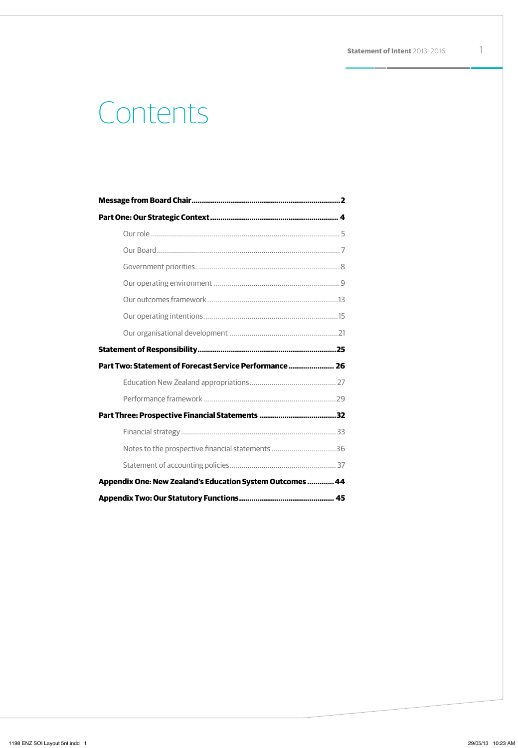# Contents

| Part Two: Statement of Forecast Service Performance  26   |  |
|-----------------------------------------------------------|--|
|                                                           |  |
|                                                           |  |
|                                                           |  |
|                                                           |  |
| Notes to the prospective financial statements 36          |  |
|                                                           |  |
| Appendix One: New Zealand's Education System Outcomes  44 |  |
|                                                           |  |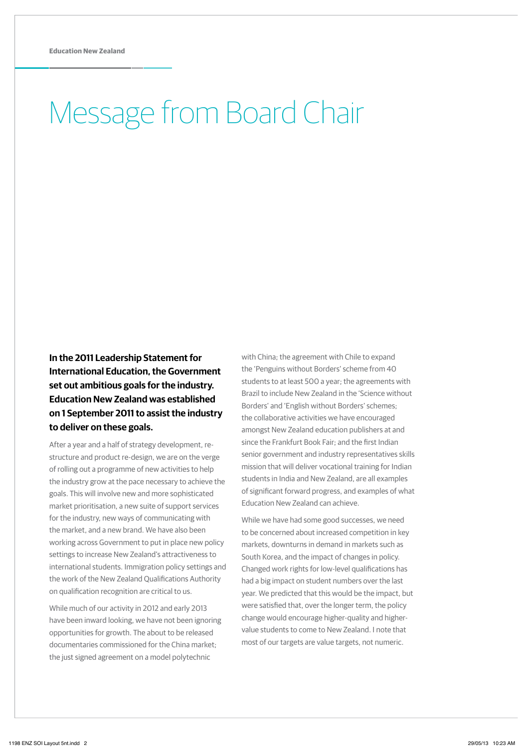# Message from Board Chair

**In the 2011 Leadership Statement for International Education, the Government set out ambitious goals for the industry. Education New Zealand was established on 1 September 2011 to assist the industry to deliver on these goals.**

After a year and a half of strategy development, restructure and product re-design, we are on the verge of rolling out a programme of new activities to help the industry grow at the pace necessary to achieve the goals. This will involve new and more sophisticated market prioritisation, a new suite of support services for the industry, new ways of communicating with the market, and a new brand. We have also been working across Government to put in place new policy settings to increase New Zealand's attractiveness to international students. Immigration policy settings and the work of the New Zealand Qualifications Authority on qualification recognition are critical to us.

While much of our activity in 2012 and early 2013 have been inward looking, we have not been ignoring opportunities for growth. The about to be released documentaries commissioned for the China market; the just signed agreement on a model polytechnic

with China; the agreement with Chile to expand the 'Penguins without Borders' scheme from 40 students to at least 500 a year; the agreements with Brazil to include New Zealand in the 'Science without Borders' and 'English without Borders' schemes; the collaborative activities we have encouraged amongst New Zealand education publishers at and since the Frankfurt Book Fair; and the first Indian senior government and industry representatives skills mission that will deliver vocational training for Indian students in India and New Zealand, are all examples of significant forward progress, and examples of what Education New Zealand can achieve.

While we have had some good successes, we need to be concerned about increased competition in key markets, downturns in demand in markets such as South Korea, and the impact of changes in policy. Changed work rights for low-level qualifications has had a big impact on student numbers over the last year. We predicted that this would be the impact, but were satisfied that, over the longer term, the policy change would encourage higher-quality and highervalue students to come to New Zealand. I note that most of our targets are value targets, not numeric.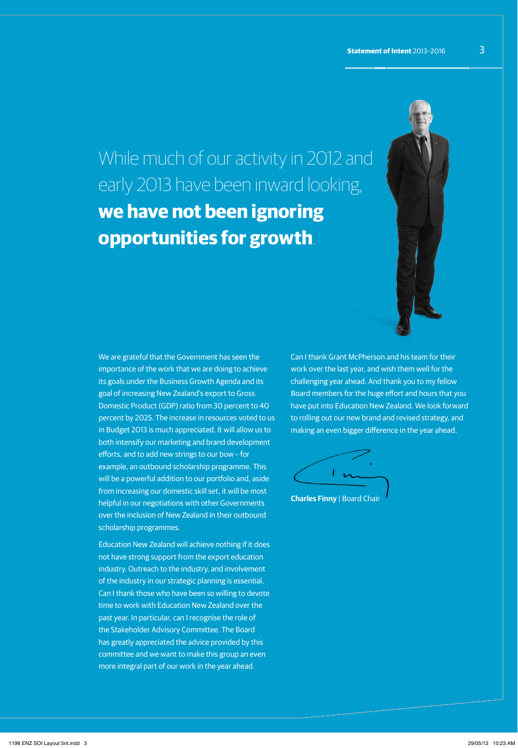While much of our activity in 2012 and early 2013 have been inward looking, **we have not been ignoring opportunities for growth**.

We are grateful that the Government has seen the importance of the work that we are doing to achieve its goals under the Business Growth Agenda and its goal of increasing New Zealand's export to Gross Domestic Product (GDP) ratio from 30 percent to 40 percent by 2025. The increase in resources voted to us in Budget 2013 is much appreciated. It will allow us to both intensify our marketing and brand development efforts, and to add new strings to our bow – for example, an outbound scholarship programme. This will be a powerful addition to our portfolio and, aside from increasing our domestic skill set, it will be most helpful in our negotiations with other Governments over the inclusion of New Zealand in their outbound scholarship programmes.

Education New Zealand will achieve nothing if it does not have strong support from the export education industry. Outreach to the industry, and involvement of the industry in our strategic planning is essential. Can I thank those who have been so willing to devote time to work with Education New Zealand over the past year. In particular, can I recognise the role of the Stakeholder Advisory Committee. The Board has greatly appreciated the advice provided by this committee and we want to make this group an even more integral part of our work in the year ahead.

Can I thank Grant McPherson and his team for their work over the last year, and wish them well for the challenging year ahead. And thank you to my fellow Board members for the huge effort and hours that you have put into Education New Zealand. We look forward to rolling out our new brand and revised strategy, and making an even bigger difference in the year ahead.



**Charles Finny** | Board Chair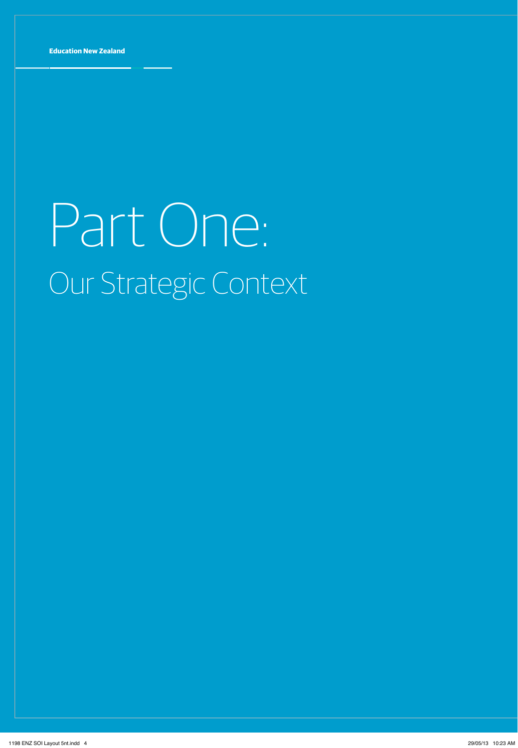# Part One: Our Strategic Context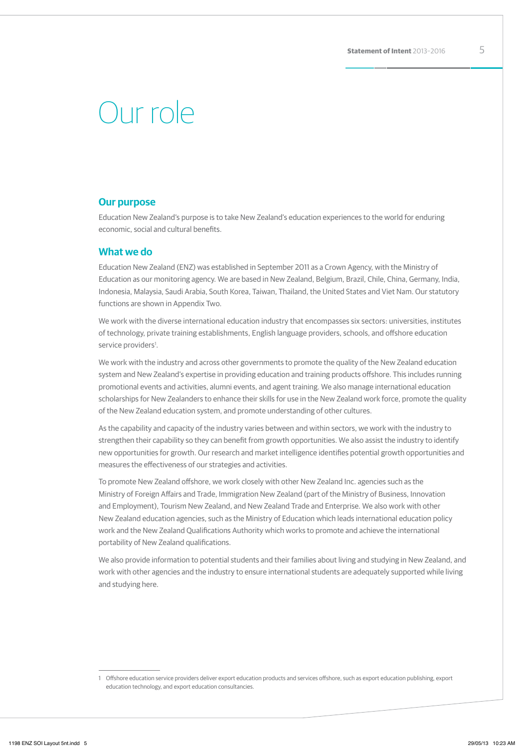# Our role

### **Our purpose**

Education New Zealand's purpose is to take New Zealand's education experiences to the world for enduring economic, social and cultural benefits.

### **What we do**

Education New Zealand (ENZ) was established in September 2011 as a Crown Agency, with the Ministry of Education as our monitoring agency. We are based in New Zealand, Belgium, Brazil, Chile, China, Germany, India, Indonesia, Malaysia, Saudi Arabia, South Korea, Taiwan, Thailand, the United States and Viet Nam. Our statutory functions are shown in Appendix Two.

We work with the diverse international education industry that encompasses six sectors: universities, institutes of technology, private training establishments, English language providers, schools, and offshore education service providers<sup>1</sup>.

We work with the industry and across other governments to promote the quality of the New Zealand education system and New Zealand's expertise in providing education and training products offshore. This includes running promotional events and activities, alumni events, and agent training. We also manage international education scholarships for New Zealanders to enhance their skills for use in the New Zealand work force, promote the quality of the New Zealand education system, and promote understanding of other cultures.

As the capability and capacity of the industry varies between and within sectors, we work with the industry to strengthen their capability so they can benefit from growth opportunities. We also assist the industry to identify new opportunities for growth. Our research and market intelligence identifies potential growth opportunities and measures the effectiveness of our strategies and activities.

To promote New Zealand offshore, we work closely with other New Zealand Inc. agencies such as the Ministry of Foreign Affairs and Trade, Immigration New Zealand (part of the Ministry of Business, Innovation and Employment), Tourism New Zealand, and New Zealand Trade and Enterprise. We also work with other New Zealand education agencies, such as the Ministry of Education which leads international education policy work and the New Zealand Qualifications Authority which works to promote and achieve the international portability of New Zealand qualifications.

We also provide information to potential students and their families about living and studying in New Zealand, and work with other agencies and the industry to ensure international students are adequately supported while living and studying here.

<sup>1</sup> Offshore education service providers deliver export education products and services offshore, such as export education publishing, export education technology, and export education consultancies.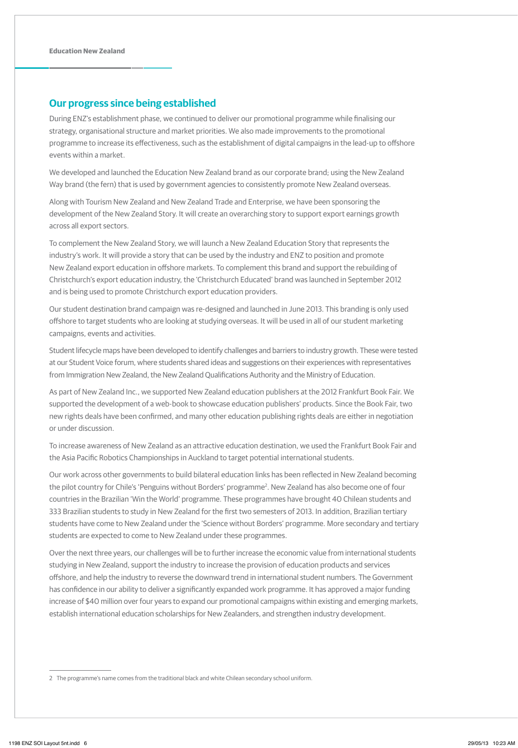### **Our progress since being established**

During ENZ's establishment phase, we continued to deliver our promotional programme while finalising our strategy, organisational structure and market priorities. We also made improvements to the promotional programme to increase its effectiveness, such as the establishment of digital campaigns in the lead-up to offshore events within a market.

We developed and launched the Education New Zealand brand as our corporate brand; using the New Zealand Way brand (the fern) that is used by government agencies to consistently promote New Zealand overseas.

Along with Tourism New Zealand and New Zealand Trade and Enterprise, we have been sponsoring the development of the New Zealand Story. It will create an overarching story to support export earnings growth across all export sectors.

To complement the New Zealand Story, we will launch a New Zealand Education Story that represents the industry's work. It will provide a story that can be used by the industry and ENZ to position and promote New Zealand export education in offshore markets. To complement this brand and support the rebuilding of Christchurch's export education industry, the 'Christchurch Educated' brand was launched in September 2012 and is being used to promote Christchurch export education providers.

Our student destination brand campaign was re-designed and launched in June 2013. This branding is only used offshore to target students who are looking at studying overseas. It will be used in all of our student marketing campaigns, events and activities.

Student lifecycle maps have been developed to identify challenges and barriers to industry growth. These were tested at our Student Voice forum, where students shared ideas and suggestions on their experiences with representatives from Immigration New Zealand, the New Zealand Qualifications Authority and the Ministry of Education.

As part of New Zealand Inc., we supported New Zealand education publishers at the 2012 Frankfurt Book Fair. We supported the development of a web-book to showcase education publishers' products. Since the Book Fair, two new rights deals have been confirmed, and many other education publishing rights deals are either in negotiation or under discussion.

To increase awareness of New Zealand as an attractive education destination, we used the Frankfurt Book Fair and the Asia Pacific Robotics Championships in Auckland to target potential international students.

Our work across other governments to build bilateral education links has been reflected in New Zealand becoming the pilot country for Chile's 'Penguins without Borders' programme<sup>2</sup>. New Zealand has also become one of four countries in the Brazilian 'Win the World' programme. These programmes have brought 40 Chilean students and 333 Brazilian students to study in New Zealand for the first two semesters of 2013. In addition, Brazilian tertiary students have come to New Zealand under the 'Science without Borders' programme. More secondary and tertiary students are expected to come to New Zealand under these programmes.

Over the next three years, our challenges will be to further increase the economic value from international students studying in New Zealand, support the industry to increase the provision of education products and services offshore, and help the industry to reverse the downward trend in international student numbers. The Government has confidence in our ability to deliver a significantly expanded work programme. It has approved a major funding increase of \$40 million over four years to expand our promotional campaigns within existing and emerging markets, establish international education scholarships for New Zealanders, and strengthen industry development.

2 The programme's name comes from the traditional black and white Chilean secondary school uniform.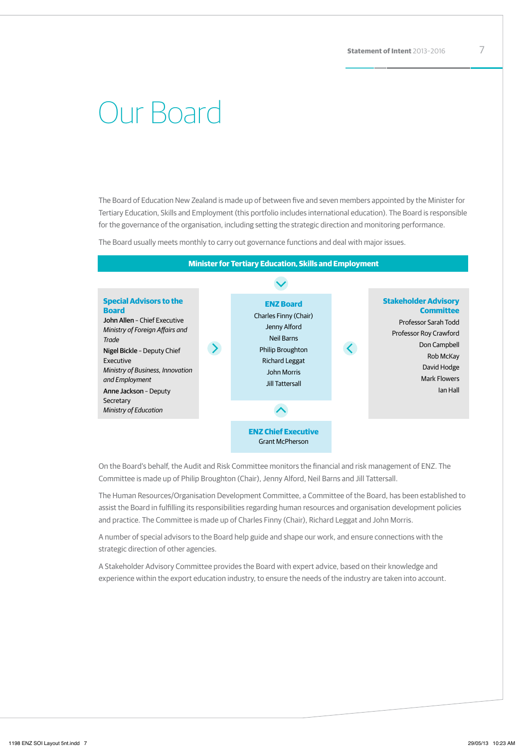# Our Board

The Board of Education New Zealand is made up of between five and seven members appointed by the Minister for Tertiary Education, Skills and Employment (this portfolio includes international education). The Board is responsible for the governance of the organisation, including setting the strategic direction and monitoring performance.

The Board usually meets monthly to carry out governance functions and deal with major issues.



On the Board's behalf, the Audit and Risk Committee monitors the financial and risk management of ENZ. The Committee is made up of Philip Broughton (Chair), Jenny Alford, Neil Barns and Jill Tattersall.

The Human Resources/Organisation Development Committee, a Committee of the Board, has been established to assist the Board in fulfilling its responsibilities regarding human resources and organisation development policies and practice. The Committee is made up of Charles Finny (Chair), Richard Leggat and John Morris.

A number of special advisors to the Board help guide and shape our work, and ensure connections with the strategic direction of other agencies.

A Stakeholder Advisory Committee provides the Board with expert advice, based on their knowledge and experience within the export education industry, to ensure the needs of the industry are taken into account.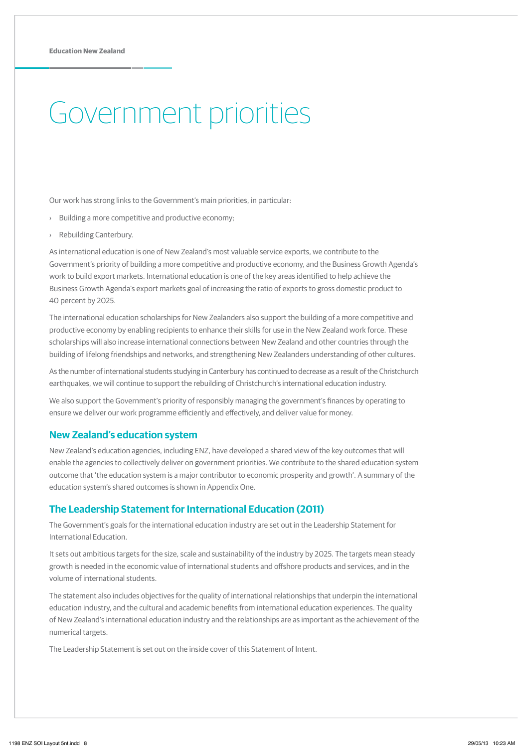# Government priorities

Our work has strong links to the Government's main priorities, in particular:

- › Building a more competitive and productive economy;
- › Rebuilding Canterbury.

As international education is one of New Zealand's most valuable service exports, we contribute to the Government's priority of building a more competitive and productive economy, and the Business Growth Agenda's work to build export markets. International education is one of the key areas identified to help achieve the Business Growth Agenda's export markets goal of increasing the ratio of exports to gross domestic product to 40 percent by 2025.

The international education scholarships for New Zealanders also support the building of a more competitive and productive economy by enabling recipients to enhance their skills for use in the New Zealand work force. These scholarships will also increase international connections between New Zealand and other countries through the building of lifelong friendships and networks, and strengthening New Zealanders understanding of other cultures.

As the number of international students studying in Canterbury has continued to decrease as a result of the Christchurch earthquakes, we will continue to support the rebuilding of Christchurch's international education industry.

We also support the Government's priority of responsibly managing the government's finances by operating to ensure we deliver our work programme efficiently and effectively, and deliver value for money.

### **New Zealand's education system**

New Zealand's education agencies, including ENZ, have developed a shared view of the key outcomes that will enable the agencies to collectively deliver on government priorities. We contribute to the shared education system outcome that 'the education system is a major contributor to economic prosperity and growth'. A summary of the education system's shared outcomes is shown in Appendix One.

### **The Leadership Statement for International Education (2011)**

The Government's goals for the international education industry are set out in the Leadership Statement for International Education.

It sets out ambitious targets for the size, scale and sustainability of the industry by 2025. The targets mean steady growth is needed in the economic value of international students and offshore products and services, and in the volume of international students.

The statement also includes objectives for the quality of international relationships that underpin the international education industry, and the cultural and academic benefits from international education experiences. The quality of New Zealand's international education industry and the relationships are as important as the achievement of the numerical targets.

The Leadership Statement is set out on the inside cover of this Statement of Intent.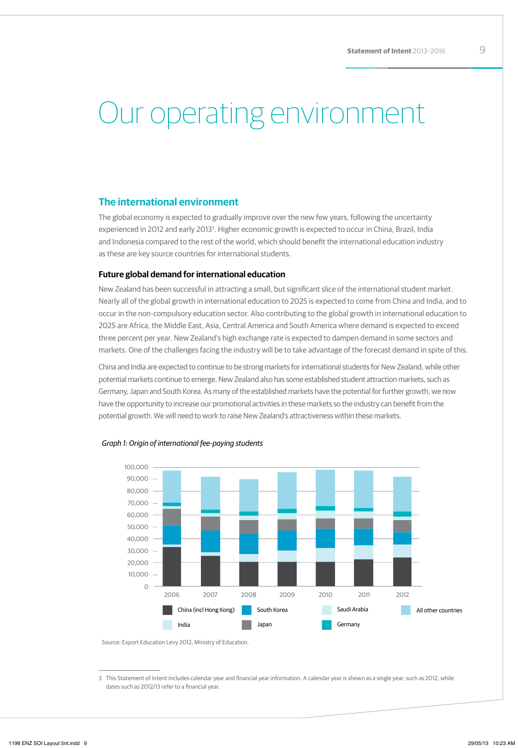# Our operating environment

### **The international environment**

The global economy is expected to gradually improve over the new few years, following the uncertainty experienced in 2012 and early 2013<sup>3</sup>. Higher economic growth is expected to occur in China, Brazil, India and Indonesia compared to the rest of the world, which should benefit the international education industry as these are key source countries for international students.

### **Future global demand for international education**

New Zealand has been successful in attracting a small, but significant slice of the international student market. Nearly all of the global growth in international education to 2025 is expected to come from China and India, and to occur in the non-compulsory education sector. Also contributing to the global growth in international education to 2025 are Africa, the Middle East, Asia, Central America and South America where demand is expected to exceed three percent per year. New Zealand's high exchange rate is expected to dampen demand in some sectors and markets. One of the challenges facing the industry will be to take advantage of the forecast demand in spite of this.

China and India are expected to continue to be strong markets for international students for New Zealand, while other potential markets continue to emerge. New Zealand also has some established student attraction markets, such as Germany, Japan and South Korea. As many of the established markets have the potential for further growth, we now have the opportunity to increase our promotional activities in these markets so the industry can benefit from the potential growth. We will need to work to raise New Zealand's attractiveness within these markets.





Source: Export Education Levy 2012, Ministry of Education.

3 This Statement of Intent includes calendar year and financial year information. A calendar year is shown as a single year, such as 2012, while dates such as 2012/13 refer to a financial year.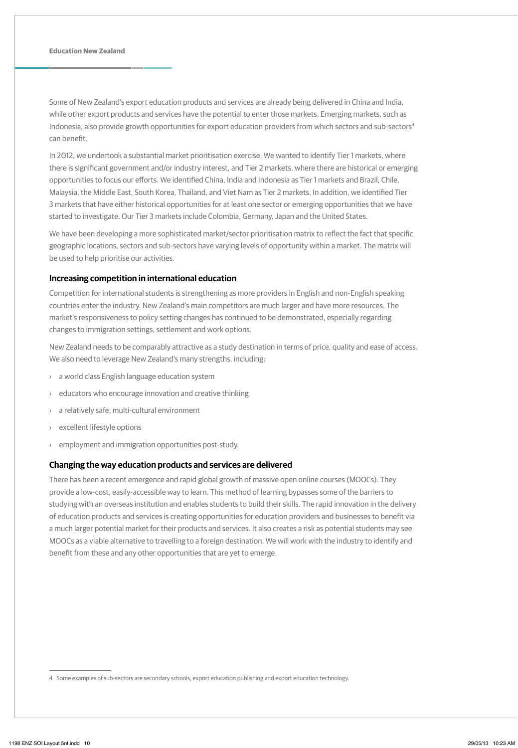Some of New Zealand's export education products and services are already being delivered in China and India, while other export products and services have the potential to enter those markets. Emerging markets, such as Indonesia, also provide growth opportunities for export education providers from which sectors and sub-sectors<sup>4</sup> can benefit.

In 2012, we undertook a substantial market prioritisation exercise. We wanted to identify Tier 1 markets, where there is significant government and/or industry interest, and Tier 2 markets, where there are historical or emerging opportunities to focus our efforts. We identified China, India and Indonesia as Tier 1 markets and Brazil, Chile, Malaysia, the Middle East, South Korea, Thailand, and Viet Nam as Tier 2 markets. In addition, we identified Tier 3 markets that have either historical opportunities for at least one sector or emerging opportunities that we have started to investigate. Our Tier 3 markets include Colombia, Germany, Japan and the United States.

We have been developing a more sophisticated market/sector prioritisation matrix to reflect the fact that specific geographic locations, sectors and sub-sectors have varying levels of opportunity within a market. The matrix will be used to help prioritise our activities.

### **Increasing competition in international education**

Competition for international students is strengthening as more providers in English and non-English speaking countries enter the industry. New Zealand's main competitors are much larger and have more resources. The market's responsiveness to policy setting changes has continued to be demonstrated, especially regarding changes to immigration settings, settlement and work options.

New Zealand needs to be comparably attractive as a study destination in terms of price, quality and ease of access. We also need to leverage New Zealand's many strengths, including:

- › a world class English language education system
- › educators who encourage innovation and creative thinking
- a relatively safe, multi-cultural environment
- excellent lifestyle options
- employment and immigration opportunities post-study.

### **Changing the way education products and services are delivered**

There has been a recent emergence and rapid global growth of massive open online courses (MOOCs). They provide a low-cost, easily-accessible way to learn. This method of learning bypasses some of the barriers to studying with an overseas institution and enables students to build their skills. The rapid innovation in the delivery of education products and services is creating opportunities for education providers and businesses to benefit via a much larger potential market for their products and services. It also creates a risk as potential students may see MOOCs as a viable alternative to travelling to a foreign destination. We will work with the industry to identify and benefit from these and any other opportunities that are yet to emerge.

<sup>4</sup> Some examples of sub-sectors are secondary schools, export education publishing and export education technology.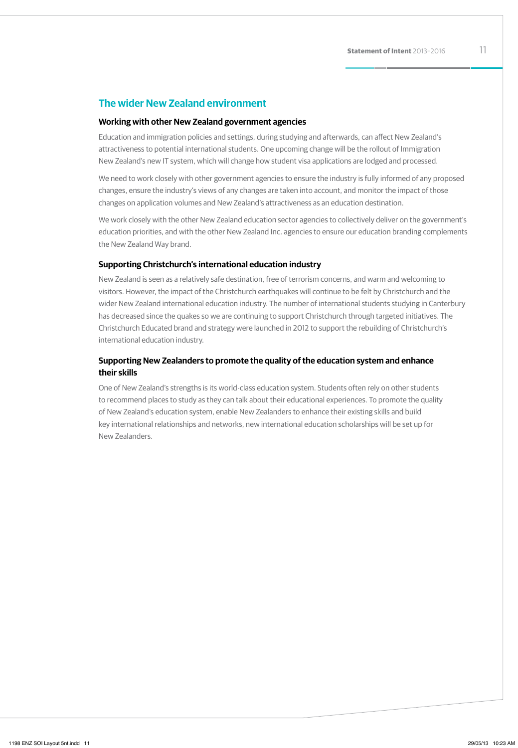## **The wider New Zealand environment**

### **Working with other New Zealand government agencies**

Education and immigration policies and settings, during studying and afterwards, can affect New Zealand's attractiveness to potential international students. One upcoming change will be the rollout of Immigration New Zealand's new IT system, which will change how student visa applications are lodged and processed.

We need to work closely with other government agencies to ensure the industry is fully informed of any proposed changes, ensure the industry's views of any changes are taken into account, and monitor the impact of those changes on application volumes and New Zealand's attractiveness as an education destination.

We work closely with the other New Zealand education sector agencies to collectively deliver on the government's education priorities, and with the other New Zealand Inc. agencies to ensure our education branding complements the New Zealand Way brand.

### **Supporting Christchurch's international education industry**

New Zealand is seen as a relatively safe destination, free of terrorism concerns, and warm and welcoming to visitors. However, the impact of the Christchurch earthquakes will continue to be felt by Christchurch and the wider New Zealand international education industry. The number of international students studying in Canterbury has decreased since the quakes so we are continuing to support Christchurch through targeted initiatives. The Christchurch Educated brand and strategy were launched in 2012 to support the rebuilding of Christchurch's international education industry.

### **Supporting New Zealanders to promote the quality of the education system and enhance their skills**

One of New Zealand's strengths is its world-class education system. Students often rely on other students to recommend places to study as they can talk about their educational experiences. To promote the quality of New Zealand's education system, enable New Zealanders to enhance their existing skills and build key international relationships and networks, new international education scholarships will be set up for New Zealanders.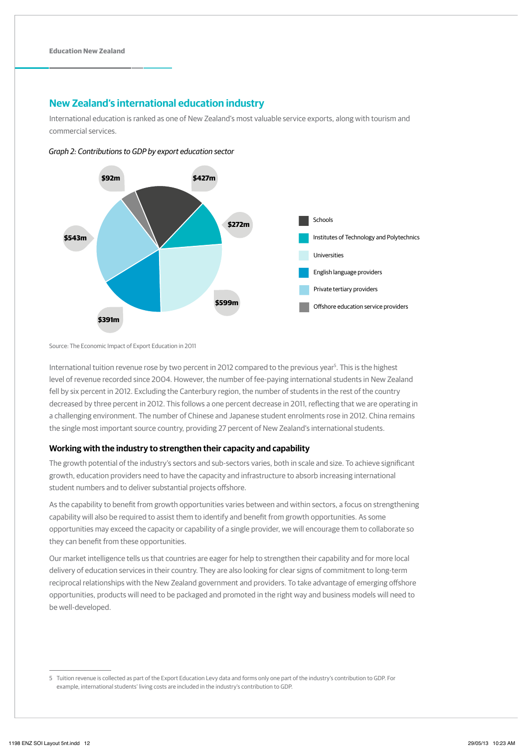## **New Zealand's international education industry**

International education is ranked as one of New Zealand's most valuable service exports, along with tourism and commercial services.



Graph 2: Contributions to GDP by export education sector

Source: The Economic Impact of Export Education in 2011

International tuition revenue rose by two percent in 2012 compared to the previous year<sup>5</sup>. This is the highest level of revenue recorded since 2004. However, the number of fee-paying international students in New Zealand fell by six percent in 2012. Excluding the Canterbury region, the number of students in the rest of the country decreased by three percent in 2012. This follows a one percent decrease in 2011, reflecting that we are operating in a challenging environment. The number of Chinese and Japanese student enrolments rose in 2012. China remains the single most important source country, providing 27 percent of New Zealand's international students.

### **Working with the industry to strengthen their capacity and capability**

The growth potential of the industry's sectors and sub-sectors varies, both in scale and size. To achieve significant growth, education providers need to have the capacity and infrastructure to absorb increasing international student numbers and to deliver substantial projects offshore.

As the capability to benefit from growth opportunities varies between and within sectors, a focus on strengthening capability will also be required to assist them to identify and benefit from growth opportunities. As some opportunities may exceed the capacity or capability of a single provider, we will encourage them to collaborate so they can benefit from these opportunities.

Our market intelligence tells us that countries are eager for help to strengthen their capability and for more local delivery of education services in their country. They are also looking for clear signs of commitment to long-term reciprocal relationships with the New Zealand government and providers. To take advantage of emerging offshore opportunities, products will need to be packaged and promoted in the right way and business models will need to be well-developed.

<sup>5</sup> Tuition revenue is collected as part of the Export Education Levy data and forms only one part of the industry's contribution to GDP. For example, international students' living costs are included in the industry's contribution to GDP.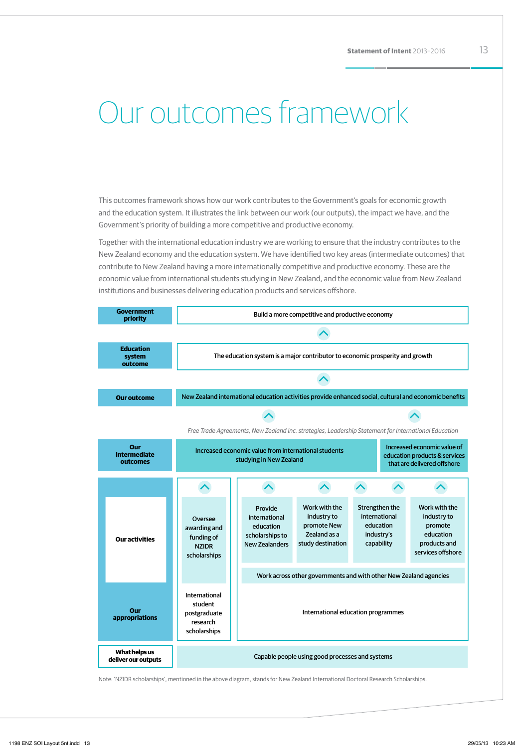# Our outcomes framework

This outcomes framework shows how our work contributes to the Government's goals for economic growth and the education system. It illustrates the link between our work (our outputs), the impact we have, and the Government's priority of building a more competitive and productive economy.

Together with the international education industry we are working to ensure that the industry contributes to the New Zealand economy and the education system. We have identified two key areas (intermediate outcomes) that contribute to New Zealand having a more internationally competitive and productive economy. These are the economic value from international students studying in New Zealand, and the economic value from New Zealand institutions and businesses delivering education products and services offshore.

| <b>Government</b><br>priority          | Build a more competitive and productive economy                                                                                                                                |                                                                                                        |                                                                                  |                                                                          |  |                                                                                           |  |
|----------------------------------------|--------------------------------------------------------------------------------------------------------------------------------------------------------------------------------|--------------------------------------------------------------------------------------------------------|----------------------------------------------------------------------------------|--------------------------------------------------------------------------|--|-------------------------------------------------------------------------------------------|--|
|                                        |                                                                                                                                                                                |                                                                                                        |                                                                                  |                                                                          |  |                                                                                           |  |
| <b>Education</b><br>system<br>outcome  |                                                                                                                                                                                | The education system is a major contributor to economic prosperity and growth                          |                                                                                  |                                                                          |  |                                                                                           |  |
|                                        |                                                                                                                                                                                |                                                                                                        |                                                                                  |                                                                          |  |                                                                                           |  |
| <b>Our outcome</b>                     |                                                                                                                                                                                | New Zealand international education activities provide enhanced social, cultural and economic benefits |                                                                                  |                                                                          |  |                                                                                           |  |
|                                        |                                                                                                                                                                                |                                                                                                        |                                                                                  |                                                                          |  |                                                                                           |  |
|                                        |                                                                                                                                                                                | Free Trade Agreements, New Zealand Inc. strategies, Leadership Statement for International Education   |                                                                                  |                                                                          |  |                                                                                           |  |
| Our<br><b>intermediate</b><br>outcomes | Increased economic value of<br>Increased economic value from international students<br>education products & services<br>studying in New Zealand<br>that are delivered offshore |                                                                                                        |                                                                                  |                                                                          |  |                                                                                           |  |
|                                        |                                                                                                                                                                                |                                                                                                        |                                                                                  |                                                                          |  |                                                                                           |  |
| <b>Our activities</b>                  | Oversee<br>awarding and<br>funding of<br><b>NZIDR</b><br>scholarships                                                                                                          | Provide<br>international<br>education<br>scholarships to<br><b>New Zealanders</b>                      | Work with the<br>industry to<br>promote New<br>Zealand as a<br>study destination | Strengthen the<br>international<br>education<br>industry's<br>capability |  | Work with the<br>industry to<br>promote<br>education<br>products and<br>services offshore |  |
|                                        |                                                                                                                                                                                | Work across other governments and with other New Zealand agencies                                      |                                                                                  |                                                                          |  |                                                                                           |  |
| Our<br>appropriations                  | International<br>student<br>postgraduate<br>research<br>scholarships                                                                                                           | International education programmes                                                                     |                                                                                  |                                                                          |  |                                                                                           |  |
| What helps us<br>deliver our outputs   | Capable people using good processes and systems                                                                                                                                |                                                                                                        |                                                                                  |                                                                          |  |                                                                                           |  |

Note: 'NZIDR scholarships', mentioned in the above diagram, stands for New Zealand International Doctoral Research Scholarships.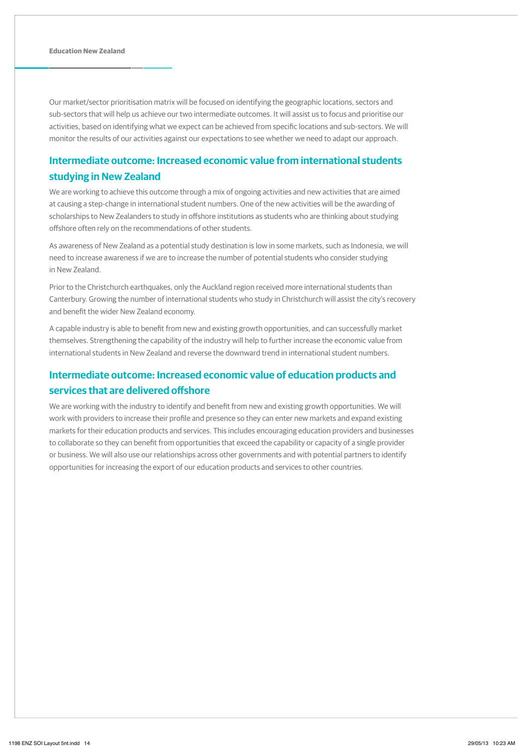Our market/sector prioritisation matrix will be focused on identifying the geographic locations, sectors and sub-sectors that will help us achieve our two intermediate outcomes. It will assist us to focus and prioritise our activities, based on identifying what we expect can be achieved from specific locations and sub-sectors. We will monitor the results of our activities against our expectations to see whether we need to adapt our approach.

## **Intermediate outcome: Increased economic value from international students studying in New Zealand**

We are working to achieve this outcome through a mix of ongoing activities and new activities that are aimed at causing a step-change in international student numbers. One of the new activities will be the awarding of scholarships to New Zealanders to study in offshore institutions as students who are thinking about studying offshore often rely on the recommendations of other students.

As awareness of New Zealand as a potential study destination is low in some markets, such as Indonesia, we will need to increase awareness if we are to increase the number of potential students who consider studying in New Zealand.

Prior to the Christchurch earthquakes, only the Auckland region received more international students than Canterbury. Growing the number of international students who study in Christchurch will assist the city's recovery and benefit the wider New Zealand economy.

A capable industry is able to benefit from new and existing growth opportunities, and can successfully market themselves. Strengthening the capability of the industry will help to further increase the economic value from international students in New Zealand and reverse the downward trend in international student numbers.

## **Intermediate outcome: Increased economic value of education products and services that are delivered offshore**

We are working with the industry to identify and benefit from new and existing growth opportunities. We will work with providers to increase their profile and presence so they can enter new markets and expand existing markets for their education products and services. This includes encouraging education providers and businesses to collaborate so they can benefit from opportunities that exceed the capability or capacity of a single provider or business. We will also use our relationships across other governments and with potential partners to identify opportunities for increasing the export of our education products and services to other countries.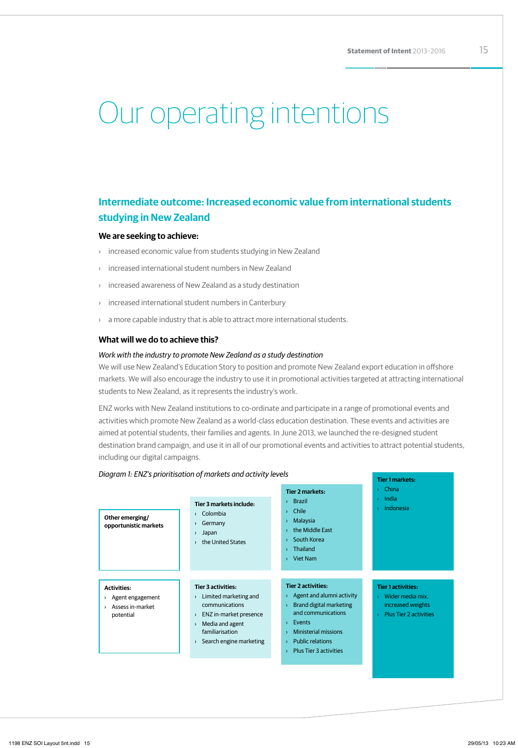# Our operating intentions

## **Intermediate outcome: Increased economic value from international students studying in New Zealand**

### **We are seeking to achieve:**

- › increased economic value from students studying in New Zealand
- increased international student numbers in New Zealand
- › increased awareness of New Zealand as a study destination
- › increased international student numbers in Canterbury
- › a more capable industry that is able to attract more international students.

### **What will we do to achieve this?**

### *Work with the industry to promote New Zealand as a study destination*

We will use New Zealand's Education Story to position and promote New Zealand export education in offshore markets. We will also encourage the industry to use it in promotional activities targeted at attracting international students to New Zealand, as it represents the industry's work.

ENZ works with New Zealand institutions to co-ordinate and participate in a range of promotional events and activities which promote New Zealand as a world-class education destination. These events and activities are aimed at potential students, their families and agents. In June 2013, we launched the re-designed student destination brand campaign, and use it in all of our promotional events and activities to attract potential students, including our digital campaigns.

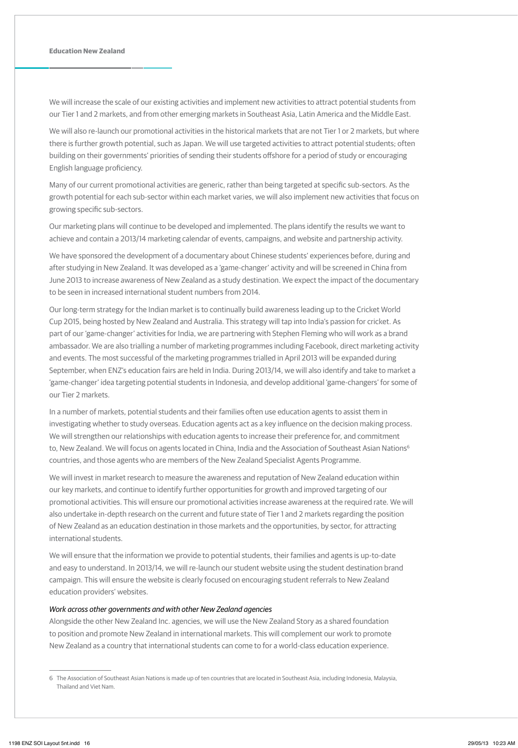We will increase the scale of our existing activities and implement new activities to attract potential students from our Tier 1 and 2 markets, and from other emerging markets in Southeast Asia, Latin America and the Middle East.

We will also re-launch our promotional activities in the historical markets that are not Tier 1 or 2 markets, but where there is further growth potential, such as Japan. We will use targeted activities to attract potential students; often building on their governments' priorities of sending their students offshore for a period of study or encouraging English language proficiency.

Many of our current promotional activities are generic, rather than being targeted at specific sub-sectors. As the growth potential for each sub-sector within each market varies, we will also implement new activities that focus on growing specific sub-sectors.

Our marketing plans will continue to be developed and implemented. The plans identify the results we want to achieve and contain a 2013/14 marketing calendar of events, campaigns, and website and partnership activity.

We have sponsored the development of a documentary about Chinese students' experiences before, during and after studying in New Zealand. It was developed as a 'game-changer' activity and will be screened in China from June 2013 to increase awareness of New Zealand as a study destination. We expect the impact of the documentary to be seen in increased international student numbers from 2014.

Our long-term strategy for the Indian market is to continually build awareness leading up to the Cricket World Cup 2015, being hosted by New Zealand and Australia. This strategy will tap into India's passion for cricket. As part of our 'game-changer' activities for India, we are partnering with Stephen Fleming who will work as a brand ambassador. We are also trialling a number of marketing programmes including Facebook, direct marketing activity and events. The most successful of the marketing programmes trialled in April 2013 will be expanded during September, when ENZ's education fairs are held in India. During 2013/14, we will also identify and take to market a 'game-changer' idea targeting potential students in Indonesia, and develop additional 'game-changers' for some of our Tier 2 markets.

In a number of markets, potential students and their families often use education agents to assist them in investigating whether to study overseas. Education agents act as a key influence on the decision making process. We will strengthen our relationships with education agents to increase their preference for, and commitment to, New Zealand. We will focus on agents located in China, India and the Association of Southeast Asian Nations<sup>6</sup> countries, and those agents who are members of the New Zealand Specialist Agents Programme.

We will invest in market research to measure the awareness and reputation of New Zealand education within our key markets, and continue to identify further opportunities for growth and improved targeting of our promotional activities. This will ensure our promotional activities increase awareness at the required rate. We will also undertake in-depth research on the current and future state of Tier 1 and 2 markets regarding the position of New Zealand as an education destination in those markets and the opportunities, by sector, for attracting international students.

We will ensure that the information we provide to potential students, their families and agents is up-to-date and easy to understand. In 2013/14, we will re-launch our student website using the student destination brand campaign. This will ensure the website is clearly focused on encouraging student referrals to New Zealand education providers' websites.

### *Work across other governments and with other New Zealand agencies*

Alongside the other New Zealand Inc. agencies, we will use the New Zealand Story as a shared foundation to position and promote New Zealand in international markets. This will complement our work to promote New Zealand as a country that international students can come to for a world-class education experience.

<sup>6</sup> The Association of Southeast Asian Nations is made up of ten countries that are located in Southeast Asia, including Indonesia, Malaysia, Thailand and Viet Nam.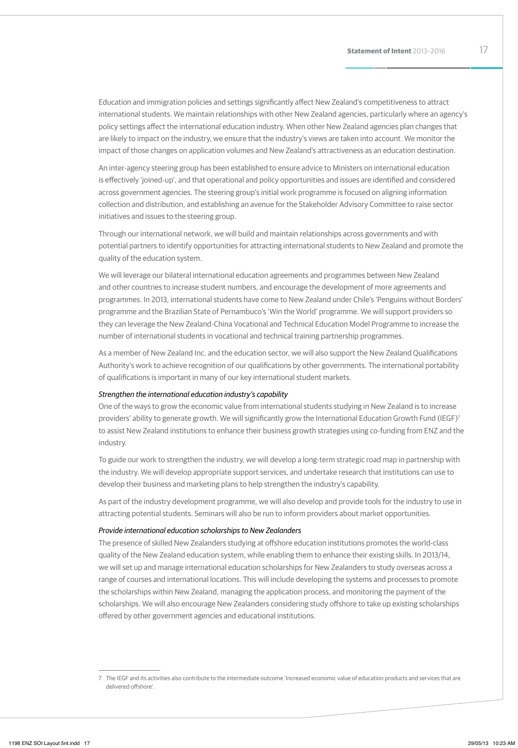Education and immigration policies and settings significantly affect New Zealand's competitiveness to attract international students. We maintain relationships with other New Zealand agencies, particularly where an agency's policy settings affect the international education industry. When other New Zealand agencies plan changes that are likely to impact on the industry, we ensure that the industry's views are taken into account. We monitor the impact of those changes on application volumes and New Zealand's attractiveness as an education destination.

An inter-agency steering group has been established to ensure advice to Ministers on international education is effectively 'joined-up', and that operational and policy opportunities and issues are identified and considered across government agencies. The steering group's initial work programme is focused on aligning information collection and distribution, and establishing an avenue for the Stakeholder Advisory Committee to raise sector initiatives and issues to the steering group.

Through our international network, we will build and maintain relationships across governments and with potential partners to identify opportunities for attracting international students to New Zealand and promote the quality of the education system.

We will leverage our bilateral international education agreements and programmes between New Zealand and other countries to increase student numbers, and encourage the development of more agreements and programmes. In 2013, international students have come to New Zealand under Chile's 'Penguins without Borders' programme and the Brazilian State of Pernambuco's 'Win the World' programme. We will support providers so they can leverage the New Zealand-China Vocational and Technical Education Model Programme to increase the number of international students in vocational and technical training partnership programmes.

As a member of New Zealand Inc. and the education sector, we will also support the New Zealand Qualifications Authority's work to achieve recognition of our qualifications by other governments. The international portability of qualifications is important in many of our key international student markets.

### *Strengthen the international education industry's capability*

One of the ways to grow the economic value from international students studying in New Zealand is to increase providers' ability to generate growth. We will significantly grow the International Education Growth Fund (IEGF)<sup>7</sup> to assist New Zealand institutions to enhance their business growth strategies using co-funding from ENZ and the industry.

To guide our work to strengthen the industry, we will develop a long-term strategic road map in partnership with the industry. We will develop appropriate support services, and undertake research that institutions can use to develop their business and marketing plans to help strengthen the industry's capability.

As part of the industry development programme, we will also develop and provide tools for the industry to use in attracting potential students. Seminars will also be run to inform providers about market opportunities.

### *Provide international education scholarships to New Zealanders*

The presence of skilled New Zealanders studying at offshore education institutions promotes the world-class quality of the New Zealand education system, while enabling them to enhance their existing skills. In 2013/14, we will set up and manage international education scholarships for New Zealanders to study overseas across a range of courses and international locations. This will include developing the systems and processes to promote the scholarships within New Zealand, managing the application process, and monitoring the payment of the scholarships. We will also encourage New Zealanders considering study offshore to take up existing scholarships offered by other government agencies and educational institutions.

<sup>7</sup> The IEGF and its activities also contribute to the intermediate outcome 'Increased economic value of education products and services that are delivered offshore'.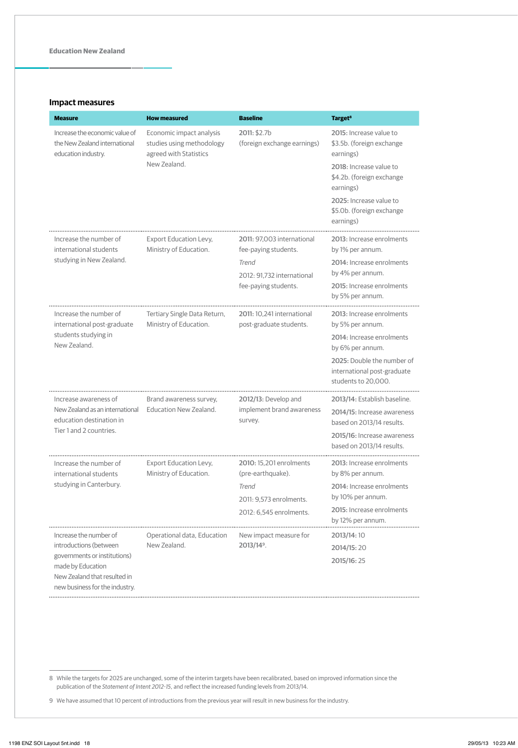### **Impact measures**

| <b>Measure</b>                                                                         | <b>How measured</b>                                                                             | <b>Baseline</b>                                             | Target <sup>8</sup>                                                                                                                                                                            |
|----------------------------------------------------------------------------------------|-------------------------------------------------------------------------------------------------|-------------------------------------------------------------|------------------------------------------------------------------------------------------------------------------------------------------------------------------------------------------------|
| Increase the economic value of<br>the New Zealand international<br>education industry. | Economic impact analysis<br>studies using methodology<br>agreed with Statistics<br>New Zealand. | 2011: \$2.7b<br>(foreign exchange earnings)                 | 2015: Increase value to<br>\$3.5b. (foreign exchange<br>earnings)<br>2018: Increase value to<br>\$4.2b. (foreign exchange<br>earnings)<br>2025: Increase value to<br>\$5.0b. (foreign exchange |
|                                                                                        |                                                                                                 |                                                             | earnings)                                                                                                                                                                                      |
| Increase the number of<br>international students<br>studying in New Zealand.           | <b>Export Education Levy,</b><br>Ministry of Education.                                         | 2011: 97.003 international<br>fee-paying students.<br>Trend | 2013: Increase enrolments<br>by 1% per annum.<br>2014: Increase enrolments                                                                                                                     |
|                                                                                        |                                                                                                 | 2012: 91.732 international                                  | by 4% per annum.                                                                                                                                                                               |
|                                                                                        |                                                                                                 | fee-paying students.                                        | 2015: Increase enrolments<br>by 5% per annum.                                                                                                                                                  |
| Increase the number of<br>international post-graduate                                  | Tertiary Single Data Return,<br>Ministry of Education.                                          | 2011: 10.241 international<br>post-graduate students.       | 2013: Increase enrolments<br>by 5% per annum.                                                                                                                                                  |
| students studying in<br>New Zealand.                                                   |                                                                                                 |                                                             | 2014: Increase enrolments<br>by 6% per annum.                                                                                                                                                  |
|                                                                                        |                                                                                                 |                                                             | 2025: Double the number of<br>international post-graduate<br>students to 20.000.                                                                                                               |
| Increase awareness of                                                                  | Brand awareness survey,                                                                         | 2012/13: Develop and                                        | 2013/14: Establish baseline.                                                                                                                                                                   |
| New Zealand as an international<br>education destination in<br>Tier 1 and 2 countries. | Education New Zealand.                                                                          | implement brand awareness<br>survey.                        | 2014/15: Increase awareness<br>based on 2013/14 results.                                                                                                                                       |
|                                                                                        |                                                                                                 |                                                             | 2015/16: Increase awareness<br>based on 2013/14 results.                                                                                                                                       |
| Increase the number of<br>international students                                       | Export Education Levy,<br>Ministry of Education.                                                | 2010: 15.201 enrolments<br>(pre-earthquake).                | 2013: Increase enrolments<br>by 8% per annum.                                                                                                                                                  |
| studying in Canterbury.                                                                |                                                                                                 | Trend                                                       | 2014: Increase enrolments                                                                                                                                                                      |
|                                                                                        |                                                                                                 | 2011: 9.573 enrolments.                                     | by 10% per annum.<br>2015: Increase enrolments                                                                                                                                                 |
|                                                                                        |                                                                                                 | 2012: 6,545 enrolments.                                     | by 12% per annum.                                                                                                                                                                              |
| Increase the number of                                                                 | Operational data, Education                                                                     | New impact measure for                                      | 2013/14:10                                                                                                                                                                                     |
| introductions (between                                                                 | New Zealand.                                                                                    | 2013/14 <sup>9</sup> .                                      | 2014/15:20                                                                                                                                                                                     |
| governments or institutions)<br>made by Education                                      |                                                                                                 |                                                             | 2015/16:25                                                                                                                                                                                     |
| New Zealand that resulted in                                                           |                                                                                                 |                                                             |                                                                                                                                                                                                |
| new business for the industry.                                                         |                                                                                                 |                                                             |                                                                                                                                                                                                |

8 While the targets for 2025 are unchanged, some of the interim targets have been recalibrated, based on improved information since the publication of the *Statement of Intent 2012-15*, and reflect the increased funding levels from 2013/14.

9 We have assumed that 10 percent of introductions from the previous year will result in new business for the industry.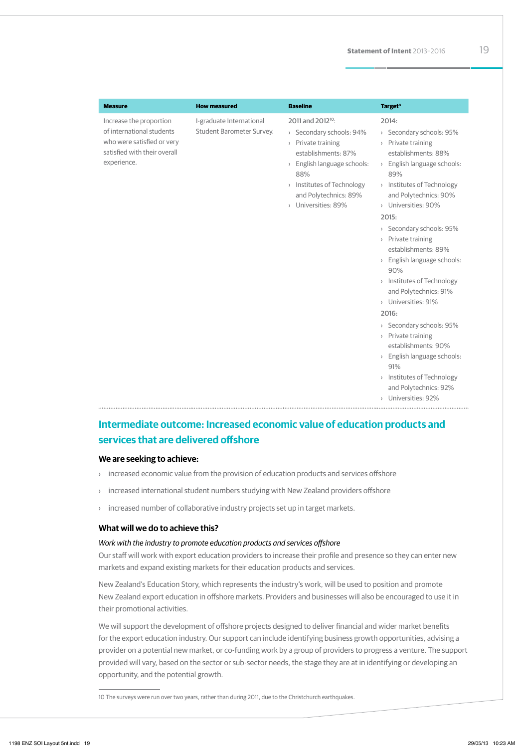| <b>Measure</b>                                                                                                                    | <b>How measured</b>                                   | <b>Baseline</b>                                                                                                                                                                                                            | <b>Target<sup>8</sup></b>                                                                                                                                                                                                                                                                                                                                                                                                                                                                                                                                                                                    |
|-----------------------------------------------------------------------------------------------------------------------------------|-------------------------------------------------------|----------------------------------------------------------------------------------------------------------------------------------------------------------------------------------------------------------------------------|--------------------------------------------------------------------------------------------------------------------------------------------------------------------------------------------------------------------------------------------------------------------------------------------------------------------------------------------------------------------------------------------------------------------------------------------------------------------------------------------------------------------------------------------------------------------------------------------------------------|
| Increase the proportion<br>of international students<br>who were satisfied or very<br>satisfied with their overall<br>experience. | I-graduate International<br>Student Barometer Survey. | 2011 and 2012 <sup>10</sup> :<br>> Secondary schools: 94%<br>> Private training<br>establishments: 87%<br>> English language schools:<br>88%<br>> Institutes of Technology<br>and Polytechnics: 89%<br>> Universities: 89% | 2014:<br>> Secondary schools: 95%<br>> Private training<br>establishments: 88%<br>> English language schools:<br>89%<br>> Institutes of Technology<br>and Polytechnics: 90%<br>Universities: 90%<br>2015:<br>> Secondary schools: 95%<br>> Private training<br>establishments: 89%<br>> English language schools:<br>90%<br>> Institutes of Technology<br>and Polytechnics: 91%<br>> Universities: 91%<br>2016:<br>> Secondary schools: 95%<br>> Private training<br>establishments: 90%<br>> English language schools:<br>91%<br>> Institutes of Technology<br>and Polytechnics: 92%<br>> Universities: 92% |

## **Intermediate outcome: Increased economic value of education products and services that are delivered offshore**

### **We are seeking to achieve:**

- › increased economic value from the provision of education products and services offshore
- › increased international student numbers studying with New Zealand providers offshore
- › increased number of collaborative industry projects set up in target markets.

### **What will we do to achieve this?**

### *Work with the industry to promote education products and services offshore*

Our staff will work with export education providers to increase their profile and presence so they can enter new markets and expand existing markets for their education products and services.

New Zealand's Education Story, which represents the industry's work, will be used to position and promote New Zealand export education in offshore markets. Providers and businesses will also be encouraged to use it in their promotional activities.

We will support the development of offshore projects designed to deliver financial and wider market benefits for the export education industry. Our support can include identifying business growth opportunities, advising a provider on a potential new market, or co-funding work by a group of providers to progress a venture. The support provided will vary, based on the sector or sub-sector needs, the stage they are at in identifying or developing an opportunity, and the potential growth.

10 The surveys were run over two years, rather than during 2011, due to the Christchurch earthquakes.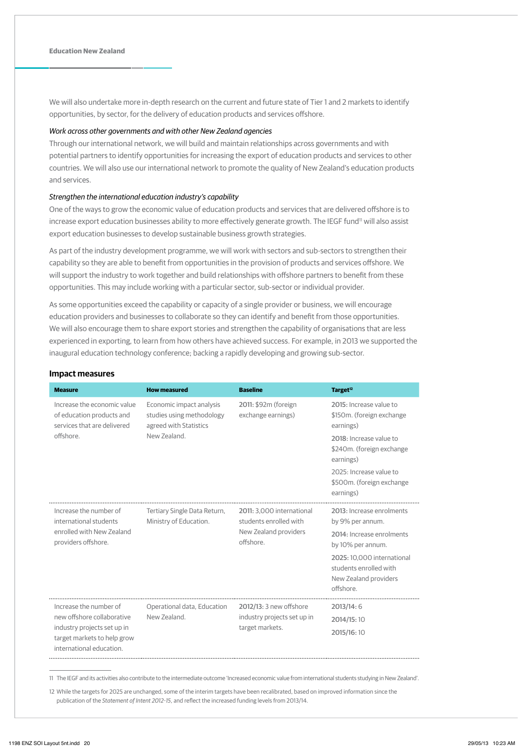We will also undertake more in-depth research on the current and future state of Tier 1 and 2 markets to identify opportunities, by sector, for the delivery of education products and services offshore.

### *Work across other governments and with other New Zealand agencies*

Through our international network, we will build and maintain relationships across governments and with potential partners to identify opportunities for increasing the export of education products and services to other countries. We will also use our international network to promote the quality of New Zealand's education products and services.

### *Strengthen the international education industry's capability*

One of the ways to grow the economic value of education products and services that are delivered offshore is to increase export education businesses ability to more effectively generate growth. The IEGF fund<sup>11</sup> will also assist export education businesses to develop sustainable business growth strategies.

As part of the industry development programme, we will work with sectors and sub-sectors to strengthen their capability so they are able to benefit from opportunities in the provision of products and services offshore. We will support the industry to work together and build relationships with offshore partners to benefit from these opportunities. This may include working with a particular sector, sub-sector or individual provider.

As some opportunities exceed the capability or capacity of a single provider or business, we will encourage education providers and businesses to collaborate so they can identify and benefit from those opportunities. We will also encourage them to share export stories and strengthen the capability of organisations that are less experienced in exporting, to learn from how others have achieved success. For example, in 2013 we supported the inaugural education technology conference; backing a rapidly developing and growing sub-sector.

| <b>Measure</b>                                                                                                                                 | <b>How measured</b>                                                                             | <b>Baseline</b>                                                                           | Target <sup>12</sup>                                                                                                                                                                                        |
|------------------------------------------------------------------------------------------------------------------------------------------------|-------------------------------------------------------------------------------------------------|-------------------------------------------------------------------------------------------|-------------------------------------------------------------------------------------------------------------------------------------------------------------------------------------------------------------|
| Increase the economic value<br>of education products and<br>services that are delivered<br>offshore.                                           | Economic impact analysis<br>studies using methodology<br>agreed with Statistics<br>New Zealand. | 2011: \$92m (foreign<br>exchange earnings)                                                | 2015: Increase value to<br>\$150m. (foreign exchange<br>earnings)<br>2018: Increase value to<br>\$240m. (foreign exchange<br>earnings)<br>2025: Increase value to<br>\$500m. (foreign exchange<br>earnings) |
| Increase the number of<br>international students<br>enrolled with New Zealand<br>providers offshore.                                           | Tertiary Single Data Return,<br>Ministry of Education.                                          | 2011: 3,000 international<br>students enrolled with<br>New Zealand providers<br>offshore. | 2013: Increase enrolments<br>by 9% per annum.<br>2014: Increase enrolments<br>by 10% per annum.<br>2025: 10,000 international<br>students enrolled with<br>New Zealand providers<br>offshore.               |
| Increase the number of<br>new offshore collaborative<br>industry projects set up in<br>target markets to help grow<br>international education. | Operational data, Education<br>New Zealand                                                      | 2012/13: 3 new offshore<br>industry projects set up in<br>target markets.                 | 2013/14:6<br>2014/15:10<br>2015/16:10                                                                                                                                                                       |

#### **Impact measures**

11 The IEGF and its activities also contribute to the intermediate outcome 'Increased economic value from international students studying in New Zealand'.

12 While the targets for 2025 are unchanged, some of the interim targets have been recalibrated, based on improved information since the publication of the *Statement of Intent 2012-15*, and reflect the increased funding levels from 2013/14.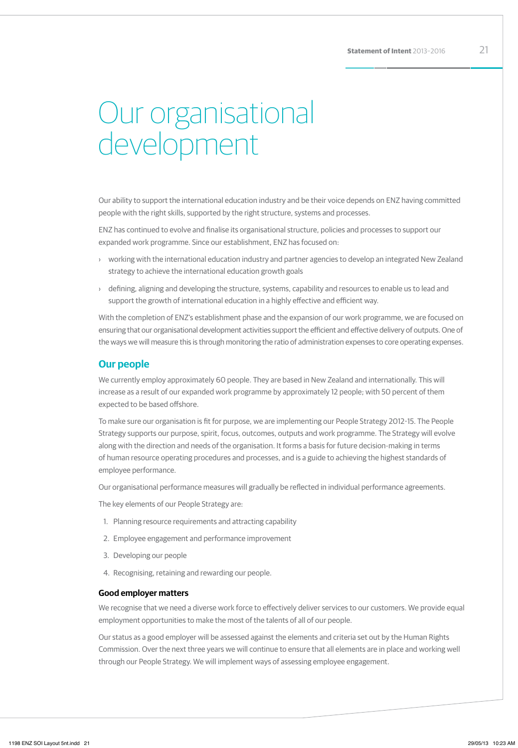# Our organisational development

Our ability to support the international education industry and be their voice depends on ENZ having committed people with the right skills, supported by the right structure, systems and processes.

ENZ has continued to evolve and finalise its organisational structure, policies and processes to support our expanded work programme. Since our establishment, ENZ has focused on:

- › working with the international education industry and partner agencies to develop an integrated New Zealand strategy to achieve the international education growth goals
- defining, aligning and developing the structure, systems, capability and resources to enable us to lead and support the growth of international education in a highly effective and efficient way.

With the completion of ENZ's establishment phase and the expansion of our work programme, we are focused on ensuring that our organisational development activities support the efficient and effective delivery of outputs. One of the ways we will measure this is through monitoring the ratio of administration expenses to core operating expenses.

### **Our people**

We currently employ approximately 60 people. They are based in New Zealand and internationally. This will increase as a result of our expanded work programme by approximately 12 people; with 50 percent of them expected to be based offshore.

To make sure our organisation is fit for purpose, we are implementing our People Strategy 2012-15. The People Strategy supports our purpose, spirit, focus, outcomes, outputs and work programme. The Strategy will evolve along with the direction and needs of the organisation. It forms a basis for future decision-making in terms of human resource operating procedures and processes, and is a guide to achieving the highest standards of employee performance.

Our organisational performance measures will gradually be reflected in individual performance agreements.

The key elements of our People Strategy are:

- 1. Planning resource requirements and attracting capability
- 2. Employee engagement and performance improvement
- 3. Developing our people
- 4. Recognising, retaining and rewarding our people.

### **Good employer matters**

We recognise that we need a diverse work force to effectively deliver services to our customers. We provide equal employment opportunities to make the most of the talents of all of our people.

Our status as a good employer will be assessed against the elements and criteria set out by the Human Rights Commission. Over the next three years we will continue to ensure that all elements are in place and working well through our People Strategy. We will implement ways of assessing employee engagement.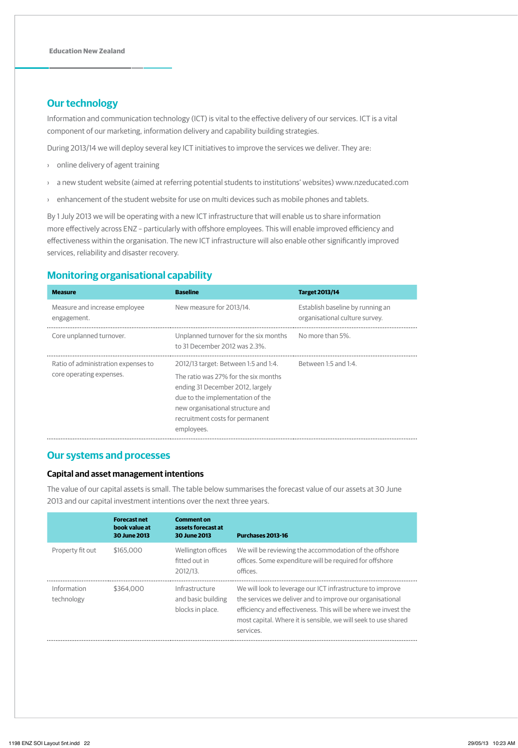## **Our technology**

Information and communication technology (ICT) is vital to the effective delivery of our services. ICT is a vital component of our marketing, information delivery and capability building strategies.

During 2013/14 we will deploy several key ICT initiatives to improve the services we deliver. They are:

- › online delivery of agent training
- › a new student website (aimed at referring potential students to institutions' websites) www.nzeducated.com
- › enhancement of the student website for use on multi devices such as mobile phones and tablets.

By 1 July 2013 we will be operating with a new ICT infrastructure that will enable us to share information more effectively across ENZ – particularly with offshore employees. This will enable improved efficiency and effectiveness within the organisation. The new ICT infrastructure will also enable other significantly improved services, reliability and disaster recovery.

## **Monitoring organisational capability**

| <b>Measure</b>                                                  | <b>Baseline</b>                                                                                                                                                                                                                           | <b>Target 2013/14</b>                                              |
|-----------------------------------------------------------------|-------------------------------------------------------------------------------------------------------------------------------------------------------------------------------------------------------------------------------------------|--------------------------------------------------------------------|
| Measure and increase employee<br>engagement.                    | New measure for 2013/14.                                                                                                                                                                                                                  | Establish baseline by running an<br>organisational culture survey. |
| Core unplanned turnover.                                        | Unplanned turnover for the six months<br>to 31 December 2012 was 2.3%.                                                                                                                                                                    | No more than 5%.                                                   |
| Ratio of administration expenses to<br>core operating expenses. | 2012/13 target: Between 1:5 and 1:4.<br>The ratio was 27% for the six months<br>ending 31 December 2012, largely<br>due to the implementation of the<br>new organisational structure and<br>recruitment costs for permanent<br>employees. | Between 1:5 and 1:4.                                               |

### **Our systems and processes**

### **Capital and asset management intentions**

The value of our capital assets is small. The table below summarises the forecast value of our assets at 30 June 2013 and our capital investment intentions over the next three years.

|                           | <b>Forecast net</b><br>book value at<br>30 June 2013 | <b>Comment on</b><br>assets forecast at<br>30 June 2013  | Purchases 2013-16                                                                                                                                                                                                                                                        |
|---------------------------|------------------------------------------------------|----------------------------------------------------------|--------------------------------------------------------------------------------------------------------------------------------------------------------------------------------------------------------------------------------------------------------------------------|
| Property fit out          | \$165,000                                            | Wellington offices<br>fitted out in<br>2012/13.          | We will be reviewing the accommodation of the offshore<br>offices. Some expenditure will be required for offshore<br>offices.                                                                                                                                            |
| Information<br>technology | \$364,000                                            | Infrastructure<br>and basic building<br>blocks in place. | We will look to leverage our ICT infrastructure to improve<br>the services we deliver and to improve our organisational<br>efficiency and effectiveness. This will be where we invest the<br>most capital. Where it is sensible, we will seek to use shared<br>services. |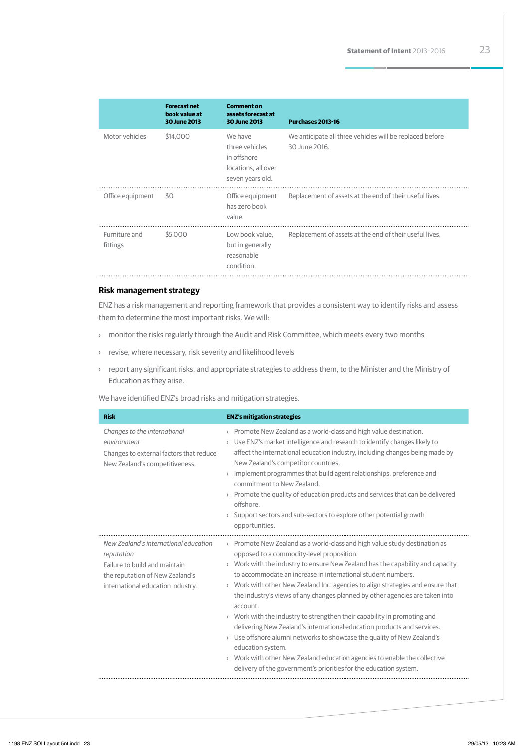|                           | <b>Forecast net</b><br>book value at<br><b>30 June 2013</b> | <b>Comment on</b><br>assets forecast at<br><b>30 June 2013</b>                      | Purchases 2013-16                                                         |
|---------------------------|-------------------------------------------------------------|-------------------------------------------------------------------------------------|---------------------------------------------------------------------------|
| Motor vehicles            | \$14,000                                                    | We have<br>three vehicles<br>in offshore<br>locations, all over<br>seven years old. | We anticipate all three vehicles will be replaced before<br>30 June 2016. |
| Office equipment          | \$0                                                         | Office equipment<br>has zero book<br>value.                                         | Replacement of assets at the end of their useful lives.                   |
| Furniture and<br>fittings | \$5,000                                                     | Low book value.<br>but in generally<br>reasonable<br>condition.                     | Replacement of assets at the end of their useful lives.                   |

### **Risk management strategy**

ENZ has a risk management and reporting framework that provides a consistent way to identify risks and assess them to determine the most important risks. We will:

- › monitor the risks regularly through the Audit and Risk Committee, which meets every two months
- › revise, where necessary, risk severity and likelihood levels
- › report any significant risks, and appropriate strategies to address them, to the Minister and the Ministry of Education as they arise.

We have identified ENZ's broad risks and mitigation strategies.

| <b>Risk</b>                                                                                                                                                  | <b>ENZ's mitigation strategies</b>                                                                                                                                                                                                                                                                                                                                                                                                                                                                                                                                                                                                                                                                                                                                                                                                                                                                    |
|--------------------------------------------------------------------------------------------------------------------------------------------------------------|-------------------------------------------------------------------------------------------------------------------------------------------------------------------------------------------------------------------------------------------------------------------------------------------------------------------------------------------------------------------------------------------------------------------------------------------------------------------------------------------------------------------------------------------------------------------------------------------------------------------------------------------------------------------------------------------------------------------------------------------------------------------------------------------------------------------------------------------------------------------------------------------------------|
| Changes to the international<br>environment<br>Changes to external factors that reduce<br>New Zealand's competitiveness.                                     | > Promote New Zealand as a world-class and high value destination.<br>> Use ENZ's market intelligence and research to identify changes likely to<br>affect the international education industry, including changes being made by<br>New Zealand's competitor countries.<br>Implement programmes that build agent relationships, preference and<br>$\left( \right)$<br>commitment to New Zealand.<br>$\rightarrow$ Promote the quality of education products and services that can be delivered<br>offshore.<br>Support sectors and sub-sectors to explore other potential growth<br>$\left( \right)$<br>opportunities.                                                                                                                                                                                                                                                                                |
| New Zealand's international education<br>reputation<br>Failure to build and maintain<br>the reputation of New Zealand's<br>international education industry. | > Promote New Zealand as a world-class and high value study destination as<br>opposed to a commodity-level proposition.<br>$\rightarrow$ Work with the industry to ensure New Zealand has the capability and capacity<br>to accommodate an increase in international student numbers.<br>> Work with other New Zealand Inc. agencies to align strategies and ensure that<br>the industry's views of any changes planned by other agencies are taken into<br>account.<br>$\rightarrow$ Work with the industry to strengthen their capability in promoting and<br>delivering New Zealand's international education products and services.<br>$\rightarrow$ Use offshore alumni networks to showcase the quality of New Zealand's<br>education system.<br>> Work with other New Zealand education agencies to enable the collective<br>delivery of the government's priorities for the education system. |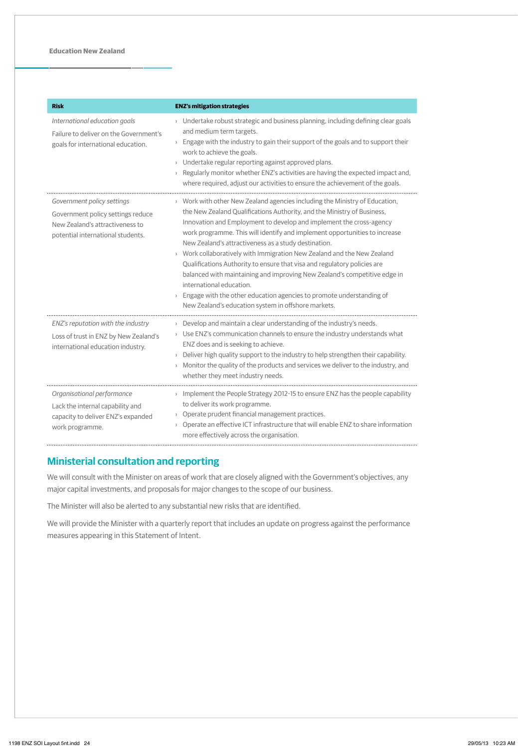| <b>Risk</b>                                                                                                                             | <b>ENZ's mitigation strategies</b>                                                                                                                                                                                                                                                                                                                                                                                                                                                                                                                                                                                                                                                                                                                                 |
|-----------------------------------------------------------------------------------------------------------------------------------------|--------------------------------------------------------------------------------------------------------------------------------------------------------------------------------------------------------------------------------------------------------------------------------------------------------------------------------------------------------------------------------------------------------------------------------------------------------------------------------------------------------------------------------------------------------------------------------------------------------------------------------------------------------------------------------------------------------------------------------------------------------------------|
| International education goals<br>Failure to deliver on the Government's<br>goals for international education.                           | > Undertake robust strategic and business planning, including defining clear goals<br>and medium term targets.<br>$\rightarrow$ Engage with the industry to gain their support of the goals and to support their<br>work to achieve the goals.<br>> Undertake regular reporting against approved plans.<br>Regularly monitor whether ENZ's activities are having the expected impact and,<br>where required, adjust our activities to ensure the achievement of the goals.                                                                                                                                                                                                                                                                                         |
| Government policy settings<br>Government policy settings reduce<br>New Zealand's attractiveness to<br>potential international students. | > Work with other New Zealand agencies including the Ministry of Education,<br>the New Zealand Qualifications Authority, and the Ministry of Business,<br>Innovation and Employment to develop and implement the cross-agency<br>work programme. This will identify and implement opportunities to increase<br>New Zealand's attractiveness as a study destination.<br>> Work collaboratively with Immigration New Zealand and the New Zealand<br>Qualifications Authority to ensure that visa and regulatory policies are<br>balanced with maintaining and improving New Zealand's competitive edge in<br>international education.<br>Engage with the other education agencies to promote understanding of<br>New Zealand's education system in offshore markets. |
| ENZ's reputation with the industry<br>Loss of trust in ENZ by New Zealand's<br>international education industry.                        | $\rightarrow$ Develop and maintain a clear understanding of the industry's needs.<br>> Use ENZ's communication channels to ensure the industry understands what<br>ENZ does and is seeking to achieve.<br>$\rightarrow$ Deliver high quality support to the industry to help strengthen their capability.<br>$\rightarrow$ Monitor the quality of the products and services we deliver to the industry, and<br>whether they meet industry needs.                                                                                                                                                                                                                                                                                                                   |
| Organisational performance<br>Lack the internal capability and<br>capacity to deliver ENZ's expanded<br>work programme.                 | > Implement the People Strategy 2012-15 to ensure ENZ has the people capability<br>to deliver its work programme.<br>> Operate prudent financial management practices.<br>> Operate an effective ICT infrastructure that will enable ENZ to share information<br>more effectively across the organisation.                                                                                                                                                                                                                                                                                                                                                                                                                                                         |

## **Ministerial consultation and reporting**

We will consult with the Minister on areas of work that are closely aligned with the Government's objectives, any major capital investments, and proposals for major changes to the scope of our business.

The Minister will also be alerted to any substantial new risks that are identified.

We will provide the Minister with a quarterly report that includes an update on progress against the performance measures appearing in this Statement of Intent.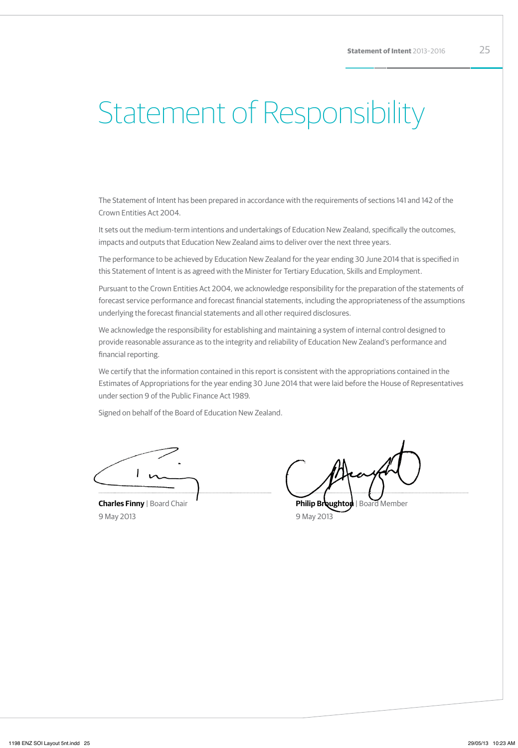# Statement of Responsibility

The Statement of Intent has been prepared in accordance with the requirements of sections 141 and 142 of the Crown Entities Act 2004.

It sets out the medium-term intentions and undertakings of Education New Zealand, specifically the outcomes, impacts and outputs that Education New Zealand aims to deliver over the next three years.

The performance to be achieved by Education New Zealand for the year ending 30 June 2014 that is specified in this Statement of Intent is as agreed with the Minister for Tertiary Education, Skills and Employment.

Pursuant to the Crown Entities Act 2004, we acknowledge responsibility for the preparation of the statements of forecast service performance and forecast financial statements, including the appropriateness of the assumptions underlying the forecast financial statements and all other required disclosures.

We acknowledge the responsibility for establishing and maintaining a system of internal control designed to provide reasonable assurance as to the integrity and reliability of Education New Zealand's performance and financial reporting.

We certify that the information contained in this report is consistent with the appropriations contained in the Estimates of Appropriations for the year ending 30 June 2014 that were laid before the House of Representatives under section 9 of the Public Finance Act 1989.

Signed on behalf of the Board of Education New Zealand.

**Charles Finny** | Board Chair 9 May 2013

**Philip Broughton | Board Member** 9 May 2013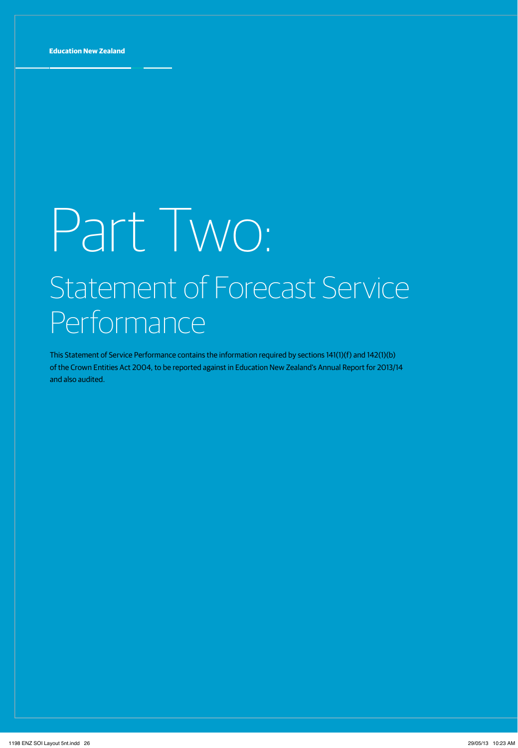# Part Two: Statement of Forecast Service **Performance**

This Statement of Service Performance contains the information required by sections 141(1)(f) and 142(1)(b) of the Crown Entities Act 2004, to be reported against in Education New Zealand's Annual Report for 2013/14 and also audited.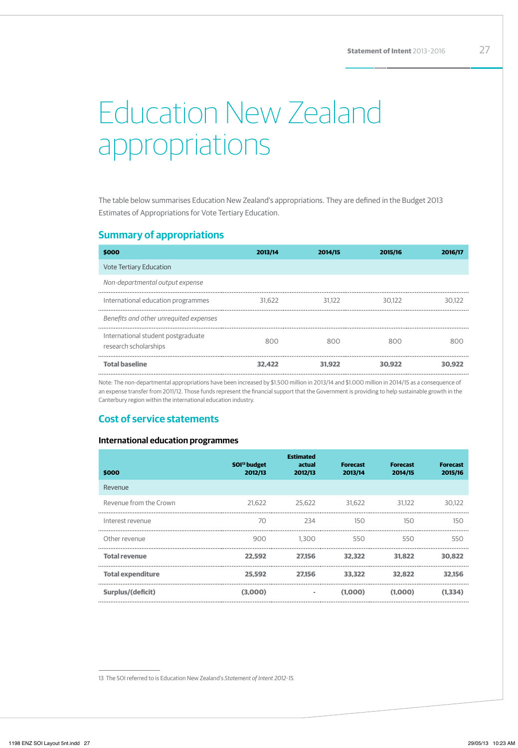# Education New Zealand appropriations

The table below summarises Education New Zealand's appropriations. They are defined in the Budget 2013 Estimates of Appropriations for Vote Tertiary Education.

### **Summary of appropriations**

| \$000                                                       | 2013/14 | 2014/15 | 2015/16 | 2016/17 |
|-------------------------------------------------------------|---------|---------|---------|---------|
| <b>Vote Tertiary Education</b>                              |         |         |         |         |
| Non-departmental output expense                             |         |         |         |         |
| International education programmes                          | 31.622  | 31.122  | 30.122  | 30.122  |
| Benefits and other unrequited expenses                      |         |         |         |         |
| International student postgraduate<br>research scholarships | 800     | 800     | 800     | 800     |
| <b>Total baseline</b>                                       | 32.422  | 31.922  | 30.922  | 30.922  |

Note: The non-departmental appropriations have been increased by \$1.500 million in 2013/14 and \$1.000 million in 2014/15 as a consequence of an expense transfer from 2011/12. Those funds represent the financial support that the Government is providing to help sustainable growth in the Canterbury region within the international education industry.

## **Cost of service statements**

### **International education programmes**

| \$000                    | SOI <sup>13</sup> budget<br>2012/13 | <b>Estimated</b><br>actual<br>2012/13 | <b>Forecast</b><br>2013/14 | <b>Forecast</b><br>2014/15 | <b>Forecast</b><br>2015/16 |
|--------------------------|-------------------------------------|---------------------------------------|----------------------------|----------------------------|----------------------------|
| Revenue                  |                                     |                                       |                            |                            |                            |
| Revenue from the Crown   | 21.622                              | 25.622                                | 31,622                     | 31.122                     | 30.122                     |
| Interest revenue         | 70                                  | 234                                   | 150                        | 150                        | 150                        |
| Other revenue            | 900                                 | 1.300                                 | 550                        | 550                        | 550                        |
| <b>Total revenue</b>     | 22,592                              | 27.156                                | 32,322                     | 31.822                     | 30.822                     |
| <b>Total expenditure</b> | 25,592                              | 27.156                                | 33,322                     | 32,822                     | 32.156                     |
| Surplus/(deficit)        | (3,000)                             | $\sim$                                | (1,000)                    | (1,000)                    | (1.334)                    |

<sup>13</sup> The SOI referred to is Education New Zealand's *Statement of Intent 2012-15.*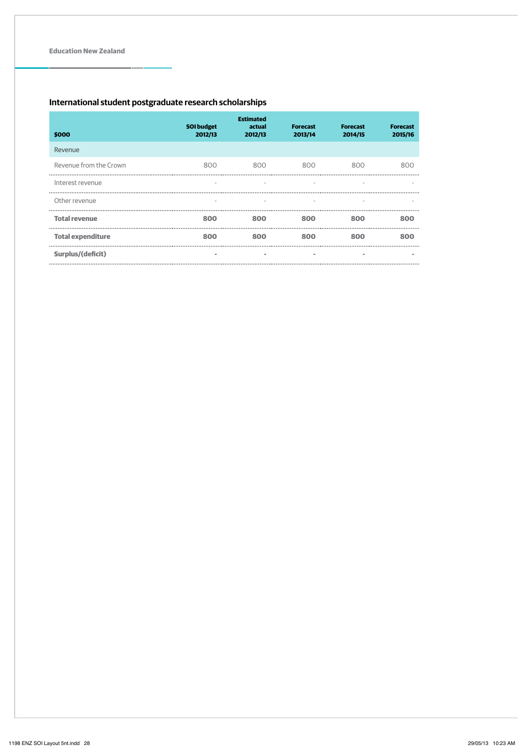### **International student postgraduate research scholarships**

| \$000                    | <b>SOI</b> budget<br>2012/13 | <b>Estimated</b><br>actual<br>2012/13 | <b>Forecast</b><br>2013/14 | <b>Forecast</b><br>2014/15 | <b>Forecast</b><br>2015/16 |
|--------------------------|------------------------------|---------------------------------------|----------------------------|----------------------------|----------------------------|
| Revenue                  |                              |                                       |                            |                            |                            |
| Revenue from the Crown   | 800                          | 800                                   | 800                        | 800                        | 800                        |
| Interest revenue         |                              |                                       |                            |                            |                            |
| Other revenue            | $\sim$                       | ٠                                     | ٠                          |                            |                            |
| <b>Total revenue</b>     | 800                          | 800                                   | 800                        | 800                        | 800                        |
| <b>Total expenditure</b> | 800                          | 800                                   | 800                        | 800                        | 800                        |
| Surplus/(deficit)        | ٠                            | ٠                                     | ٠                          | ۰                          |                            |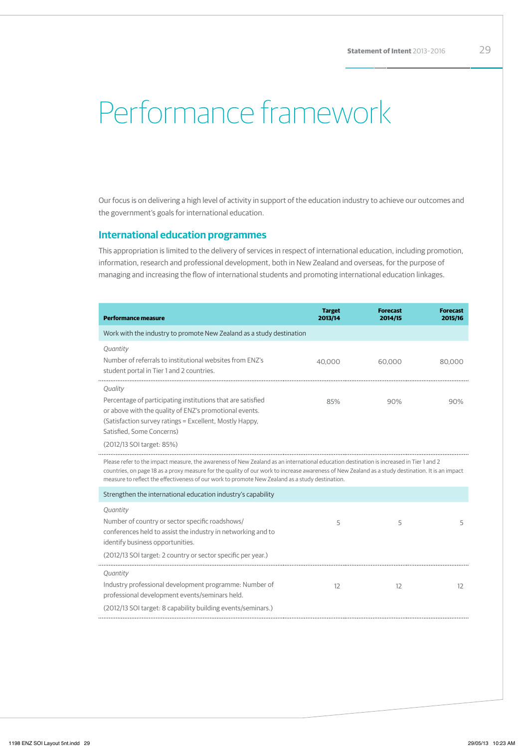# Performance framework

Our focus is on delivering a high level of activity in support of the education industry to achieve our outcomes and the government's goals for international education.

### **International education programmes**

This appropriation is limited to the delivery of services in respect of international education, including promotion, information, research and professional development, both in New Zealand and overseas, for the purpose of managing and increasing the flow of international students and promoting international education linkages.

| Performance measure                                                                                                                                                                                                                                                                                                                                                                             | <b>Target</b><br>2013/14 | <b>Forecast</b><br>2014/15 | <b>Forecast</b><br>2015/16 |
|-------------------------------------------------------------------------------------------------------------------------------------------------------------------------------------------------------------------------------------------------------------------------------------------------------------------------------------------------------------------------------------------------|--------------------------|----------------------------|----------------------------|
| Work with the industry to promote New Zealand as a study destination                                                                                                                                                                                                                                                                                                                            |                          |                            |                            |
| Quantity                                                                                                                                                                                                                                                                                                                                                                                        |                          |                            |                            |
| Number of referrals to institutional websites from ENZ's<br>student portal in Tier 1 and 2 countries.                                                                                                                                                                                                                                                                                           | 40.000                   | 60.000                     | 80.000                     |
| Quality                                                                                                                                                                                                                                                                                                                                                                                         |                          |                            |                            |
| Percentage of participating institutions that are satisfied<br>or above with the quality of ENZ's promotional events.<br>(Satisfaction survey ratings = Excellent, Mostly Happy,<br>Satisfied. Some Concerns)                                                                                                                                                                                   | 85%                      | 90%                        | 90%                        |
| (2012/13 SOI target: 85%)                                                                                                                                                                                                                                                                                                                                                                       |                          |                            |                            |
| Please refer to the impact measure, the awareness of New Zealand as an international education destination is increased in Tier 1 and 2<br>countries, on page 18 as a proxy measure for the quality of our work to increase awareness of New Zealand as a study destination. It is an impact<br>measure to reflect the effectiveness of our work to promote New Zealand as a study destination. |                          |                            |                            |
| Strengthen the international education industry's capability                                                                                                                                                                                                                                                                                                                                    |                          |                            |                            |
| Quantity                                                                                                                                                                                                                                                                                                                                                                                        |                          |                            |                            |
| Number of country or sector specific roadshows/<br>conferences held to assist the industry in networking and to<br>identify business opportunities.                                                                                                                                                                                                                                             | 5                        | 5                          | 5                          |
| (2012/13 SOI target: 2 country or sector specific per year.)                                                                                                                                                                                                                                                                                                                                    |                          |                            |                            |
| Quantity<br>Industry professional development programme: Number of<br>professional development events/seminars held.<br>(2012/13 SOI target: 8 capability building events/seminars.)                                                                                                                                                                                                            | 12                       | 12                         | 12                         |
|                                                                                                                                                                                                                                                                                                                                                                                                 |                          |                            |                            |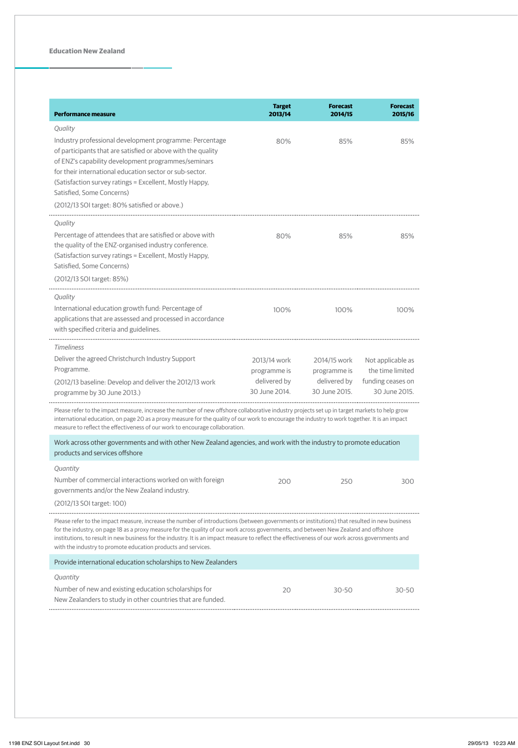| Performance measure                                                                                                                                                                                                                                                                                                                                                                                                                                                                                                                                              | <b>Target</b><br>2013/14                                      | <b>Forecast</b><br>2014/15                                    | <b>Forecast</b><br>2015/16                                                  |
|------------------------------------------------------------------------------------------------------------------------------------------------------------------------------------------------------------------------------------------------------------------------------------------------------------------------------------------------------------------------------------------------------------------------------------------------------------------------------------------------------------------------------------------------------------------|---------------------------------------------------------------|---------------------------------------------------------------|-----------------------------------------------------------------------------|
| Quality<br>Industry professional development programme: Percentage<br>of participants that are satisfied or above with the quality<br>of ENZ's capability development programmes/seminars<br>for their international education sector or sub-sector.<br>(Satisfaction survey ratings = Excellent, Mostly Happy,<br>Satisfied, Some Concerns)<br>(2012/13 SOI target: 80% satisfied or above.)                                                                                                                                                                    | 80%                                                           | 85%                                                           | 85%                                                                         |
| Quality<br>Percentage of attendees that are satisfied or above with<br>the quality of the ENZ-organised industry conference.<br>(Satisfaction survey ratings = Excellent, Mostly Happy,<br>Satisfied, Some Concerns)<br>(2012/13 SOI target: 85%)                                                                                                                                                                                                                                                                                                                | 80%                                                           | 85%                                                           | 85%                                                                         |
| Quality<br>International education growth fund: Percentage of<br>applications that are assessed and processed in accordance<br>with specified criteria and guidelines.                                                                                                                                                                                                                                                                                                                                                                                           | 100%                                                          | 100%                                                          | 100%                                                                        |
| <b>Timeliness</b><br>Deliver the agreed Christchurch Industry Support<br>Programme.<br>(2012/13 baseline: Develop and deliver the 2012/13 work<br>programme by 30 June 2013.)<br>Please refer to the impact measure, increase the number of new offshore collaborative industry projects set up in target markets to help grow<br>international education, on page 20 as a proxy measure for the quality of our work to encourage the industry to work together. It is an impact<br>measure to reflect the effectiveness of our work to encourage collaboration. | 2013/14 work<br>programme is<br>delivered by<br>30 June 2014. | 2014/15 work<br>programme is<br>delivered by<br>30 June 2015. | Not applicable as<br>the time limited<br>funding ceases on<br>30 June 2015. |
| Work across other governments and with other New Zealand agencies, and work with the industry to promote education<br>products and services offshore                                                                                                                                                                                                                                                                                                                                                                                                             |                                                               |                                                               |                                                                             |
| Quantity<br>Number of commercial interactions worked on with foreign<br>governments and/or the New Zealand industry.<br>(2012/13 SOI target: 100)<br>Please refer to the impact measure, increase the number of introductions (between governments or institutions) that resulted in new business                                                                                                                                                                                                                                                                | 200                                                           | 250                                                           | 300                                                                         |
| for the industry, on page 18 as a proxy measure for the quality of our work across governments, and between New Zealand and offshore<br>institutions, to result in new business for the industry. It is an impact measure to reflect the effectiveness of our work across governments and<br>with the industry to promote education products and services.                                                                                                                                                                                                       |                                                               |                                                               |                                                                             |
| Provide international education scholarships to New Zealanders                                                                                                                                                                                                                                                                                                                                                                                                                                                                                                   |                                                               |                                                               |                                                                             |

#### *Quantity* Number of new and existing education scholarships for New Zealanders to study in other countries that are funded. 20 30-50 30-50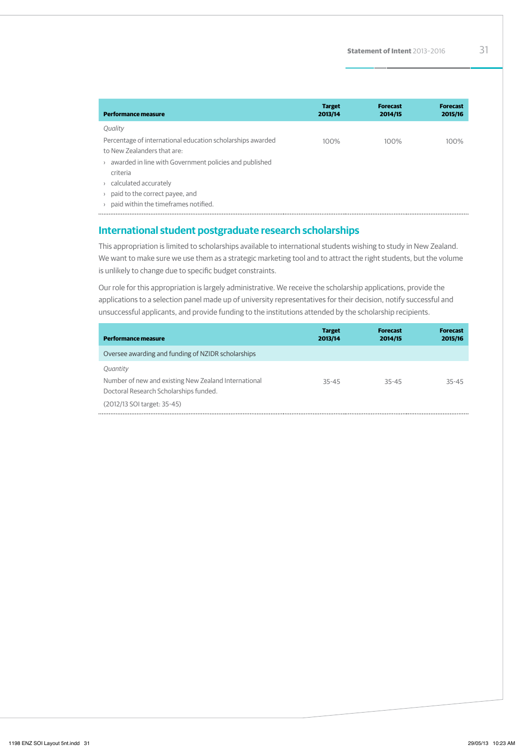| <b>Performance measure</b>                                                                | <b>Target</b><br>2013/14 | <b>Forecast</b><br>2014/15 | <b>Forecast</b><br>2015/16 |
|-------------------------------------------------------------------------------------------|--------------------------|----------------------------|----------------------------|
| Quality                                                                                   |                          |                            |                            |
| Percentage of international education scholarships awarded<br>to New Zealanders that are: | 100%                     | 100%                       | 100%                       |
| awarded in line with Government policies and published<br>criteria                        |                          |                            |                            |
| calculated accurately                                                                     |                          |                            |                            |
| paid to the correct payee, and                                                            |                          |                            |                            |
| paid within the timeframes notified.                                                      |                          |                            |                            |

### **International student postgraduate research scholarships**

This appropriation is limited to scholarships available to international students wishing to study in New Zealand. We want to make sure we use them as a strategic marketing tool and to attract the right students, but the volume is unlikely to change due to specific budget constraints.

Our role for this appropriation is largely administrative. We receive the scholarship applications, provide the applications to a selection panel made up of university representatives for their decision, notify successful and unsuccessful applicants, and provide funding to the institutions attended by the scholarship recipients.

| <b>Performance measure</b>                                                                                                                | <b>Target</b><br>2013/14 | <b>Forecast</b><br>2014/15 | <b>Forecast</b><br>2015/16 |
|-------------------------------------------------------------------------------------------------------------------------------------------|--------------------------|----------------------------|----------------------------|
| Oversee awarding and funding of NZIDR scholarships                                                                                        |                          |                            |                            |
| Quantity<br>Number of new and existing New Zealand International<br>Doctoral Research Scholarships funded.<br>(2012/13 SOI target: 35-45) | $35 - 45$                | 35-45                      | 35-45                      |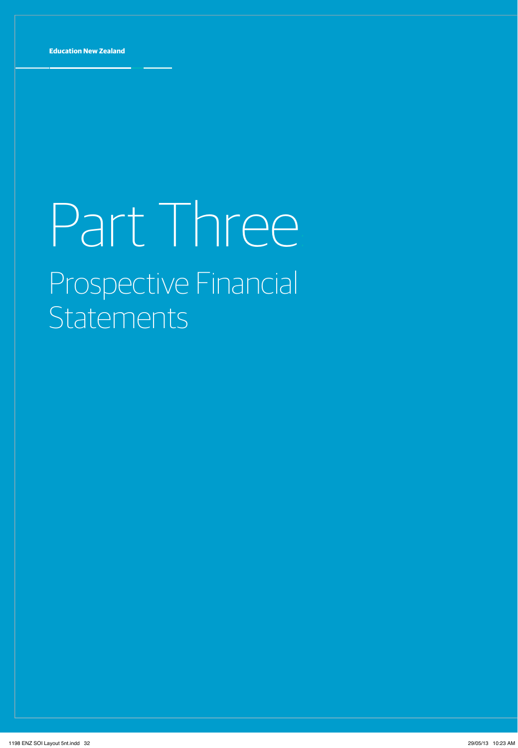# Part Three Prospective Financial **Statements**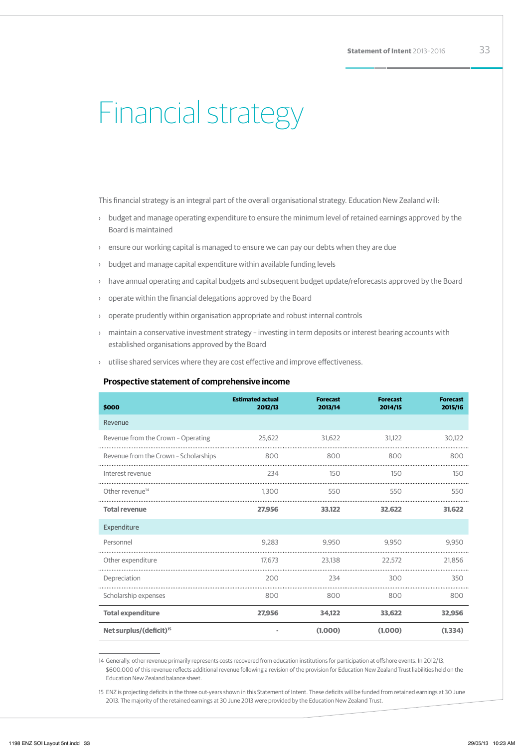# Financial strategy

This financial strategy is an integral part of the overall organisational strategy. Education New Zealand will:

- › budget and manage operating expenditure to ensure the minimum level of retained earnings approved by the Board is maintained
- › ensure our working capital is managed to ensure we can pay our debts when they are due
- › budget and manage capital expenditure within available funding levels
- › have annual operating and capital budgets and subsequent budget update/reforecasts approved by the Board
- › operate within the financial delegations approved by the Board
- › operate prudently within organisation appropriate and robust internal controls
- › maintain a conservative investment strategy investing in term deposits or interest bearing accounts with established organisations approved by the Board
- › utilise shared services where they are cost effective and improve effectiveness.

### **Prospective statement of comprehensive income**

| \$000                                 | <b>Estimated actual</b><br>2012/13 | <b>Forecast</b><br>2013/14 | <b>Forecast</b><br>2014/15 | <b>Forecast</b><br>2015/16 |
|---------------------------------------|------------------------------------|----------------------------|----------------------------|----------------------------|
| Revenue                               |                                    |                            |                            |                            |
| Revenue from the Crown - Operating    | 25,622                             | 31,622                     | 31.122                     | 30,122                     |
| Revenue from the Crown - Scholarships | 800                                | 800                        | 800                        | 800                        |
| Interest revenue                      | 234                                | 150                        | 150                        | 150                        |
| Other revenue <sup>14</sup>           | 1.300                              | 550                        | 550                        | 550                        |
| <b>Total revenue</b>                  | 27.956                             | 33.122                     | 32.622                     | 31.622                     |
| Expenditure                           |                                    |                            |                            |                            |
| Personnel                             | 9.283                              | 9.950                      | 9.950                      | 9,950                      |
| Other expenditure                     | 17.673                             | 23.138                     | 22.572                     | 21.856                     |
| Depreciation                          | 200                                | 234                        | 300                        | 350                        |
| Scholarship expenses                  | 800                                | 800                        | 800                        | 800                        |
| <b>Total expenditure</b>              | 27.956                             | 34.122                     | 33.622                     | 32.956                     |
| Net surplus/(deficit) <sup>15</sup>   |                                    | (1,000)                    | (1,000)                    | (1.334)                    |

14 Generally, other revenue primarily represents costs recovered from education institutions for participation at offshore events. In 2012/13, \$600,000 of this revenue reflects additional revenue following a revision of the provision for Education New Zealand Trust liabilities held on the Education New Zealand balance sheet.

15 ENZ is projecting deficits in the three out-years shown in this Statement of Intent. These deficits will be funded from retained earnings at 30 June 2013. The majority of the retained earnings at 30 June 2013 were provided by the Education New Zealand Trust.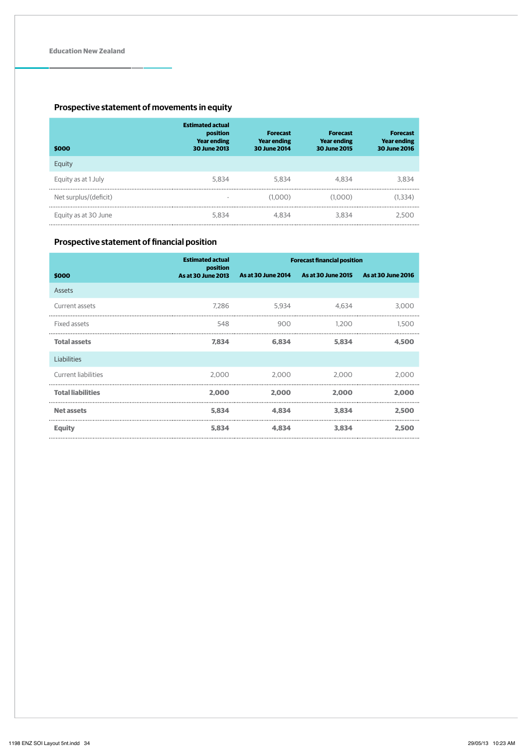## **Prospective statement of movements in equity**

| \$000                 | <b>Estimated actual</b><br>position<br><b>Year ending</b><br><b>30 June 2013</b> | <b>Forecast</b><br><b>Year ending</b><br><b>30 June 2014</b> | <b>Forecast</b><br><b>Year ending</b><br>30 June 2015 | <b>Forecast</b><br><b>Year ending</b><br>30 June 2016 |
|-----------------------|----------------------------------------------------------------------------------|--------------------------------------------------------------|-------------------------------------------------------|-------------------------------------------------------|
| Equity                |                                                                                  |                                                              |                                                       |                                                       |
| Equity as at 1 July   | 5.834                                                                            | 5.834                                                        | 4.834                                                 | 3.834                                                 |
| Net surplus/(deficit) |                                                                                  | (1.000)                                                      | (1.000)                                               | (1.334)                                               |
| Equity as at 30 June  | 5.834                                                                            | 4.834                                                        | 3.834                                                 | 2.500                                                 |

## **Prospective statement of financial position**

|                            | <b>Estimated actual</b><br>position | <b>Forecast financial position</b> |                           |                           |
|----------------------------|-------------------------------------|------------------------------------|---------------------------|---------------------------|
| \$000                      | <b>As at 30 June 2013</b>           | <b>As at 30 June 2014</b>          | <b>As at 30 June 2015</b> | <b>As at 30 June 2016</b> |
| Assets                     |                                     |                                    |                           |                           |
| Current assets             | 7.286                               | 5.934                              | 4.634                     | 3,000                     |
| Fixed assets               | 548                                 | 900                                | 1.200                     | 1.500                     |
| <b>Total assets</b>        | 7.834                               | 6.834                              | 5.834                     | 4.500                     |
| Liabilities                |                                     |                                    |                           |                           |
| <b>Current liabilities</b> | 2.000                               | 2.000                              | 2.000                     | 2,000                     |
| <b>Total liabilities</b>   | 2.000                               | 2.000                              | 2.000                     | 2.000                     |
| <b>Net assets</b>          | 5.834                               | 4.834                              | 3.834                     | 2.500                     |
| <b>Equity</b>              | 5.834                               | 4.834                              | 3.834                     | 2.500                     |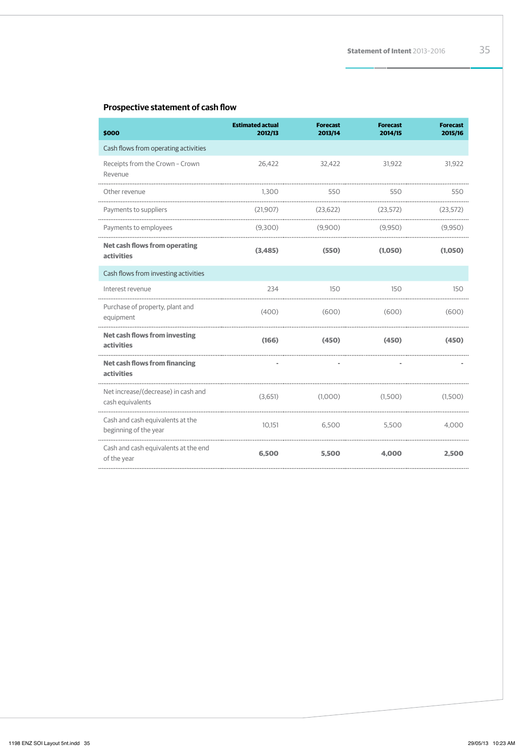### **Prospective statement of cash flow**

| \$000                                                     | <b>Estimated actual</b><br>2012/13 | <b>Forecast</b><br>2013/14 | <b>Forecast</b><br>2014/15 | <b>Forecast</b><br>2015/16 |
|-----------------------------------------------------------|------------------------------------|----------------------------|----------------------------|----------------------------|
| Cash flows from operating activities                      |                                    |                            |                            |                            |
| Receipts from the Crown - Crown<br>Revenue                | 26,422                             | 32,422                     | 31,922                     | 31,922                     |
| Other revenue                                             | 1.300                              | 550                        | 550                        | 550                        |
| Payments to suppliers                                     | (21,907)                           | (23.622)                   | (23.572)                   | (23.572)                   |
| Payments to employees                                     | (9,300)                            | (9,900)                    | (9.950)                    | (9,950)                    |
| <b>Net cash flows from operating</b><br>activities        | (3,485)                            | (550)                      | (1,050)                    | (1,050)                    |
| Cash flows from investing activities                      |                                    |                            |                            |                            |
| Interest revenue                                          | 234                                | 150                        | 150                        | 150                        |
| Purchase of property, plant and<br>equipment              | (400)                              | (600)                      | (600)                      | (600)                      |
| <b>Net cash flows from investing</b><br>activities        | (166)                              | (450)                      | (450)                      | (450)                      |
| <b>Net cash flows from financing</b><br><b>activities</b> |                                    |                            |                            |                            |
| Net increase/(decrease) in cash and<br>cash equivalents   | (3,651)                            | (1,000)                    | (1,500)                    | (1,500)                    |
| Cash and cash equivalents at the<br>beginning of the year | 10,151                             | 6,500                      | 5,500                      | 4,000                      |
| Cash and cash equivalents at the end<br>of the year       | 6,500                              | 5.500                      | 4,000                      | 2.500                      |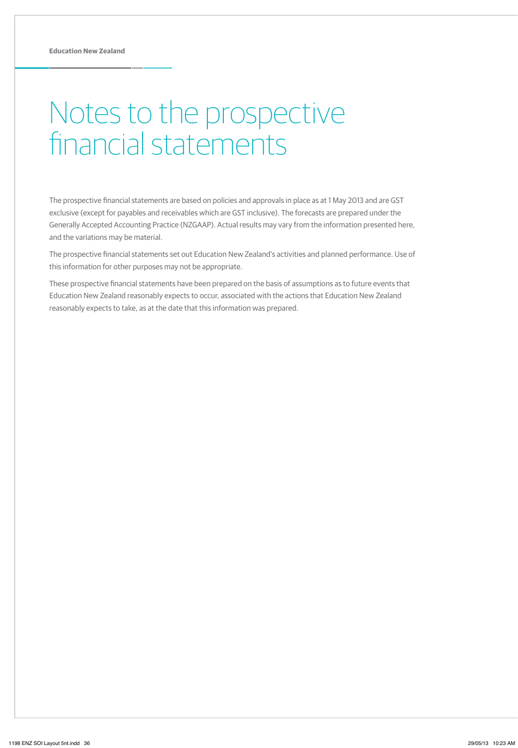# Notes to the prospective financial statements

The prospective financial statements are based on policies and approvals in place as at 1 May 2013 and are GST exclusive (except for payables and receivables which are GST inclusive). The forecasts are prepared under the Generally Accepted Accounting Practice (NZGAAP). Actual results may vary from the information presented here, and the variations may be material.

The prospective financial statements set out Education New Zealand's activities and planned performance. Use of this information for other purposes may not be appropriate.

These prospective financial statements have been prepared on the basis of assumptions as to future events that Education New Zealand reasonably expects to occur, associated with the actions that Education New Zealand reasonably expects to take, as at the date that this information was prepared.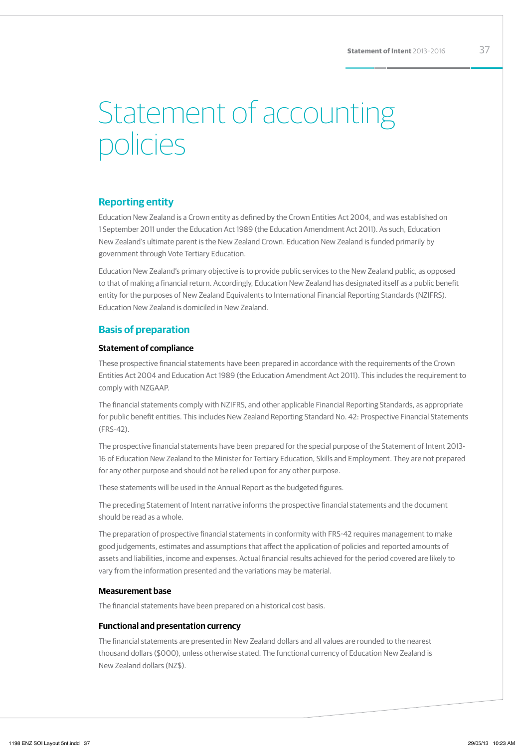# Statement of accounting policies

### **Reporting entity**

Education New Zealand is a Crown entity as defined by the Crown Entities Act 2004, and was established on 1 September 2011 under the Education Act 1989 (the Education Amendment Act 2011). As such, Education New Zealand's ultimate parent is the New Zealand Crown. Education New Zealand is funded primarily by government through Vote Tertiary Education.

Education New Zealand's primary objective is to provide public services to the New Zealand public, as opposed to that of making a financial return. Accordingly, Education New Zealand has designated itself as a public benefit entity for the purposes of New Zealand Equivalents to International Financial Reporting Standards (NZIFRS). Education New Zealand is domiciled in New Zealand.

## **Basis of preparation**

### **Statement of compliance**

These prospective financial statements have been prepared in accordance with the requirements of the Crown Entities Act 2004 and Education Act 1989 (the Education Amendment Act 2011). This includes the requirement to comply with NZGAAP.

The financial statements comply with NZIFRS, and other applicable Financial Reporting Standards, as appropriate for public benefit entities. This includes New Zealand Reporting Standard No. 42: Prospective Financial Statements (FRS-42).

The prospective financial statements have been prepared for the special purpose of the Statement of Intent 2013- 16 of Education New Zealand to the Minister for Tertiary Education, Skills and Employment. They are not prepared for any other purpose and should not be relied upon for any other purpose.

These statements will be used in the Annual Report as the budgeted figures.

The preceding Statement of Intent narrative informs the prospective financial statements and the document should be read as a whole.

The preparation of prospective financial statements in conformity with FRS-42 requires management to make good judgements, estimates and assumptions that affect the application of policies and reported amounts of assets and liabilities, income and expenses. Actual financial results achieved for the period covered are likely to vary from the information presented and the variations may be material.

### **Measurement base**

The financial statements have been prepared on a historical cost basis.

### **Functional and presentation currency**

The financial statements are presented in New Zealand dollars and all values are rounded to the nearest thousand dollars (\$000), unless otherwise stated. The functional currency of Education New Zealand is New Zealand dollars (NZ\$).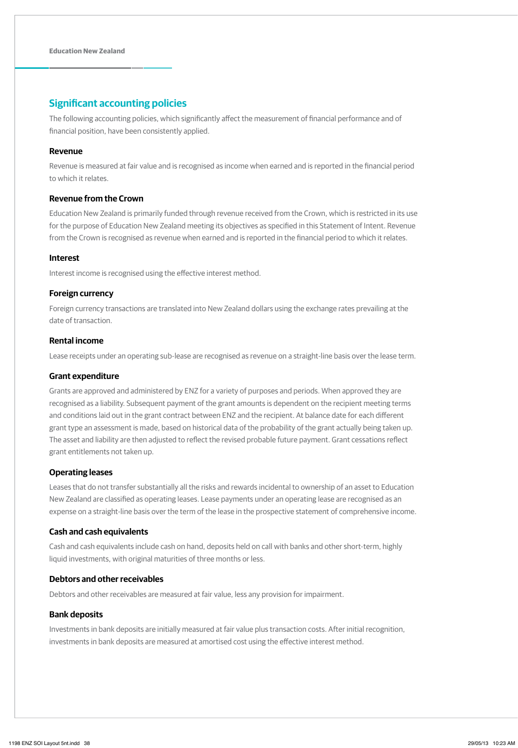## **Significant accounting policies**

The following accounting policies, which significantly affect the measurement of financial performance and of financial position, have been consistently applied.

### **Revenue**

Revenue is measured at fair value and is recognised as income when earned and is reported in the financial period to which it relates.

### **Revenue from the Crown**

Education New Zealand is primarily funded through revenue received from the Crown, which is restricted in its use for the purpose of Education New Zealand meeting its objectives as specified in this Statement of Intent. Revenue from the Crown is recognised as revenue when earned and is reported in the financial period to which it relates.

### **Interest**

Interest income is recognised using the effective interest method.

### **Foreign currency**

Foreign currency transactions are translated into New Zealand dollars using the exchange rates prevailing at the date of transaction.

### **Rental income**

Lease receipts under an operating sub-lease are recognised as revenue on a straight-line basis over the lease term.

### **Grant expenditure**

Grants are approved and administered by ENZ for a variety of purposes and periods. When approved they are recognised as a liability. Subsequent payment of the grant amounts is dependent on the recipient meeting terms and conditions laid out in the grant contract between ENZ and the recipient. At balance date for each different grant type an assessment is made, based on historical data of the probability of the grant actually being taken up. The asset and liability are then adjusted to reflect the revised probable future payment. Grant cessations reflect grant entitlements not taken up.

### **Operating leases**

Leases that do not transfer substantially all the risks and rewards incidental to ownership of an asset to Education New Zealand are classified as operating leases. Lease payments under an operating lease are recognised as an expense on a straight-line basis over the term of the lease in the prospective statement of comprehensive income.

### **Cash and cash equivalents**

Cash and cash equivalents include cash on hand, deposits held on call with banks and other short-term, highly liquid investments, with original maturities of three months or less.

### **Debtors and other receivables**

Debtors and other receivables are measured at fair value, less any provision for impairment.

### **Bank deposits**

Investments in bank deposits are initially measured at fair value plus transaction costs. After initial recognition, investments in bank deposits are measured at amortised cost using the effective interest method.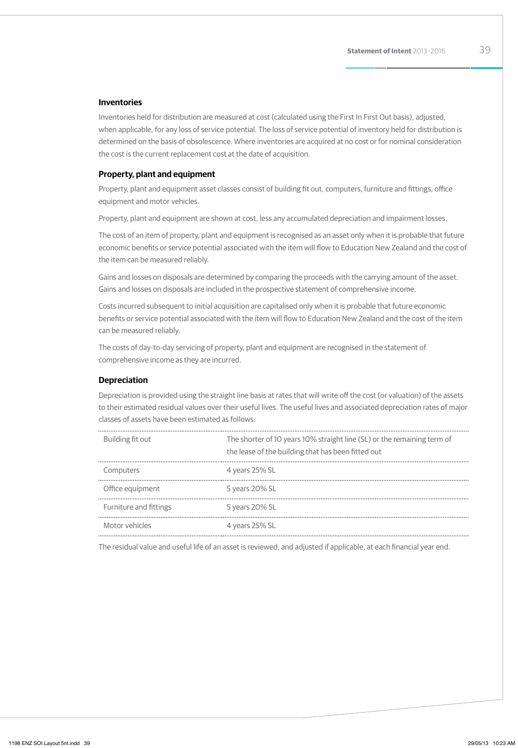### **Inventories**

Inventories held for distribution are measured at cost (calculated using the First In First Out basis), adjusted, when applicable, for any loss of service potential. The loss of service potential of inventory held for distribution is determined on the basis of obsolescence. Where inventories are acquired at no cost or for nominal consideration the cost is the current replacement cost at the date of acquisition.

### **Property, plant and equipment**

Property, plant and equipment asset classes consist of building fit out, computers, furniture and fittings, office equipment and motor vehicles.

Property, plant and equipment are shown at cost, less any accumulated depreciation and impairment losses.

The cost of an item of property, plant and equipment is recognised as an asset only when it is probable that future economic benefits or service potential associated with the item will flow to Education New Zealand and the cost of the item can be measured reliably.

Gains and losses on disposals are determined by comparing the proceeds with the carrying amount of the asset. Gains and losses on disposals are included in the prospective statement of comprehensive income.

Costs incurred subsequent to initial acquisition are capitalised only when it is probable that future economic benefits or service potential associated with the item will flow to Education New Zealand and the cost of the item can be measured reliably.

The costs of day-to-day servicing of property, plant and equipment are recognised in the statement of comprehensive income as they are incurred.

### **Depreciation**

Depreciation is provided using the straight line basis at rates that will write off the cost (or valuation) of the assets to their estimated residual values over their useful lives. The useful lives and associated depreciation rates of major classes of assets have been estimated as follows:

| Building fit out       | The shorter of 10 years 10% straight line (SL) or the remaining term of<br>the lease of the building that has been fitted out |
|------------------------|-------------------------------------------------------------------------------------------------------------------------------|
| Computers              | 4 years 25% SL                                                                                                                |
| Office equipment       | 5 years 20% SL                                                                                                                |
| Furniture and fittings | 5 years 20% SL                                                                                                                |
| Motor vehicles         | 4 years 25% SL                                                                                                                |

The residual value and useful life of an asset is reviewed, and adjusted if applicable, at each financial year end.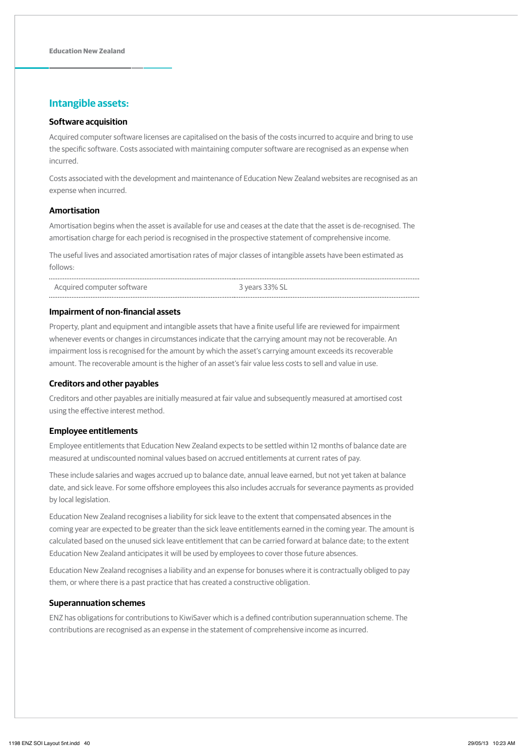## **Intangible assets:**

### **Software acquisition**

Acquired computer software licenses are capitalised on the basis of the costs incurred to acquire and bring to use the specific software. Costs associated with maintaining computer software are recognised as an expense when incurred.

Costs associated with the development and maintenance of Education New Zealand websites are recognised as an expense when incurred.

### **Amortisation**

Amortisation begins when the asset is available for use and ceases at the date that the asset is de-recognised. The amortisation charge for each period is recognised in the prospective statement of comprehensive income.

The useful lives and associated amortisation rates of major classes of intangible assets have been estimated as follows:

Acquired computer software 3 years 33% SL

### **Impairment of non-financial assets**

Property, plant and equipment and intangible assets that have a finite useful life are reviewed for impairment whenever events or changes in circumstances indicate that the carrying amount may not be recoverable. An impairment loss is recognised for the amount by which the asset's carrying amount exceeds its recoverable amount. The recoverable amount is the higher of an asset's fair value less costs to sell and value in use.

### **Creditors and other payables**

Creditors and other payables are initially measured at fair value and subsequently measured at amortised cost using the effective interest method.

### **Employee entitlements**

Employee entitlements that Education New Zealand expects to be settled within 12 months of balance date are measured at undiscounted nominal values based on accrued entitlements at current rates of pay.

These include salaries and wages accrued up to balance date, annual leave earned, but not yet taken at balance date, and sick leave. For some offshore employees this also includes accruals for severance payments as provided by local legislation.

Education New Zealand recognises a liability for sick leave to the extent that compensated absences in the coming year are expected to be greater than the sick leave entitlements earned in the coming year. The amount is calculated based on the unused sick leave entitlement that can be carried forward at balance date; to the extent Education New Zealand anticipates it will be used by employees to cover those future absences.

Education New Zealand recognises a liability and an expense for bonuses where it is contractually obliged to pay them, or where there is a past practice that has created a constructive obligation.

### **Superannuation schemes**

ENZ has obligations for contributions to KiwiSaver which is a defined contribution superannuation scheme. The contributions are recognised as an expense in the statement of comprehensive income as incurred.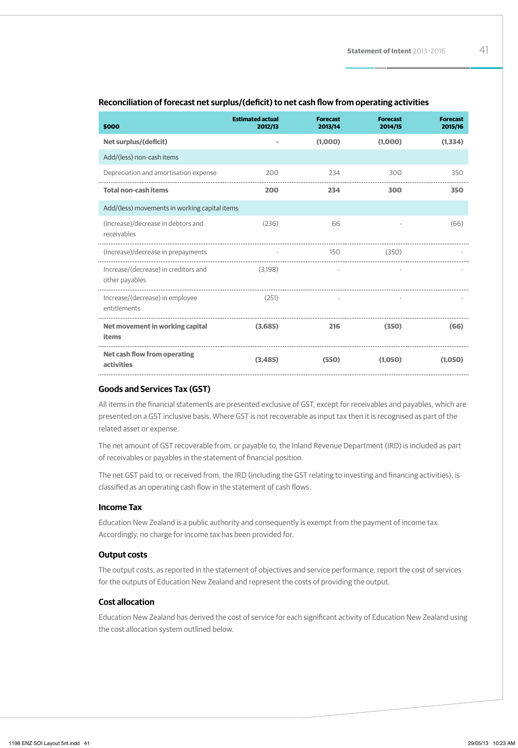| \$000                                                  | <b>Estimated actual</b><br>2012/13 | <b>Forecast</b><br>2013/14 | <b>Forecast</b><br>2014/15 | <b>Forecast</b><br>2015/16 |
|--------------------------------------------------------|------------------------------------|----------------------------|----------------------------|----------------------------|
| <b>Net surplus/(deficit)</b>                           |                                    | (1,000)                    | (1,000)                    | (1, 334)                   |
| Add/(less) non-cash items                              |                                    |                            |                            |                            |
| Depreciation and amortisation expense                  | 200                                | 234                        | 300                        | 350                        |
| <b>Total non-cash items</b>                            | 200                                | 234                        | 300                        | 350                        |
| Add/(less) movements in working capital items          |                                    |                            |                            |                            |
| (Increase)/decrease in debtors and<br>receivables      | (236)                              | 66                         |                            | (66)                       |
| (Increase)/decrease in prepayments                     |                                    | 150                        | (350)                      |                            |
| Increase/(decrease) in creditors and<br>other payables | (3.198)                            | $\overline{\phantom{a}}$   |                            |                            |
| Increase/(decrease) in employee<br>entitlements        | (251)                              |                            |                            |                            |
| Net movement in working capital<br>items               | (3.685)                            | 216                        | (350)                      | (66)                       |
| <b>Net cash flow from operating</b><br>activities      | (3.485)                            | (550)                      | (1,050)                    | (1.050)                    |

### **Reconciliation of forecast net surplus/(deficit) to net cash flow from operating activities**

### **Goods and Services Tax (GST)**

All items in the financial statements are presented exclusive of GST, except for receivables and payables, which are presented on a GST inclusive basis. Where GST is not recoverable as input tax then it is recognised as part of the related asset or expense.

The net amount of GST recoverable from, or payable to, the Inland Revenue Department (IRD) is included as part of receivables or payables in the statement of financial position.

The net GST paid to, or received from, the IRD (including the GST relating to investing and financing activities), is classified as an operating cash flow in the statement of cash flows.

### **Income Tax**

Education New Zealand is a public authority and consequently is exempt from the payment of income tax. Accordingly, no charge for income tax has been provided for.

### **Output costs**

The output costs, as reported in the statement of objectives and service performance, report the cost of services for the outputs of Education New Zealand and represent the costs of providing the output.

### **Cost allocation**

Education New Zealand has derived the cost of service for each significant activity of Education New Zealand using the cost allocation system outlined below.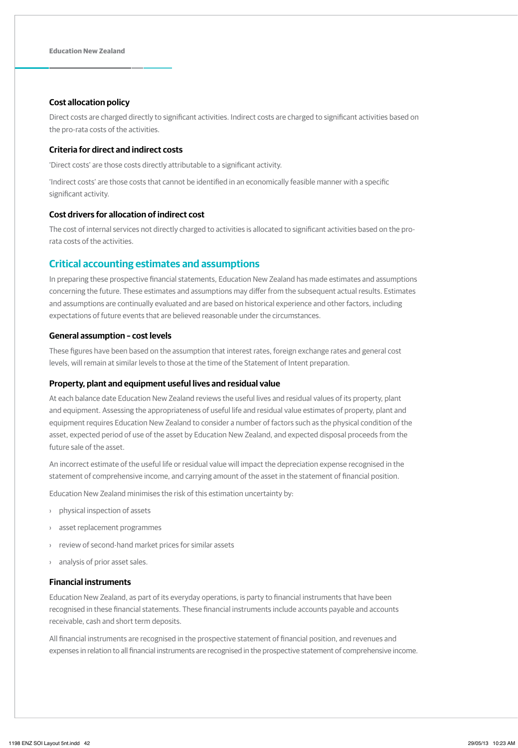### **Cost allocation policy**

Direct costs are charged directly to significant activities. Indirect costs are charged to significant activities based on the pro-rata costs of the activities.

### **Criteria for direct and indirect costs**

'Direct costs' are those costs directly attributable to a significant activity.

'Indirect costs' are those costs that cannot be identified in an economically feasible manner with a specific significant activity.

### **Cost drivers for allocation of indirect cost**

The cost of internal services not directly charged to activities is allocated to significant activities based on the prorata costs of the activities.

### **Critical accounting estimates and assumptions**

In preparing these prospective financial statements, Education New Zealand has made estimates and assumptions concerning the future. These estimates and assumptions may differ from the subsequent actual results. Estimates and assumptions are continually evaluated and are based on historical experience and other factors, including expectations of future events that are believed reasonable under the circumstances.

### **General assumption – cost levels**

These figures have been based on the assumption that interest rates, foreign exchange rates and general cost levels, will remain at similar levels to those at the time of the Statement of Intent preparation.

### **Property, plant and equipment useful lives and residual value**

At each balance date Education New Zealand reviews the useful lives and residual values of its property, plant and equipment. Assessing the appropriateness of useful life and residual value estimates of property, plant and equipment requires Education New Zealand to consider a number of factors such as the physical condition of the asset, expected period of use of the asset by Education New Zealand, and expected disposal proceeds from the future sale of the asset.

An incorrect estimate of the useful life or residual value will impact the depreciation expense recognised in the statement of comprehensive income, and carrying amount of the asset in the statement of financial position.

Education New Zealand minimises the risk of this estimation uncertainty by:

- › physical inspection of assets
- › asset replacement programmes
- › review of second-hand market prices for similar assets
- › analysis of prior asset sales.

### **Financial instruments**

Education New Zealand, as part of its everyday operations, is party to financial instruments that have been recognised in these financial statements. These financial instruments include accounts payable and accounts receivable, cash and short term deposits.

All financial instruments are recognised in the prospective statement of financial position, and revenues and expenses in relation to all financial instruments are recognised in the prospective statement of comprehensive income.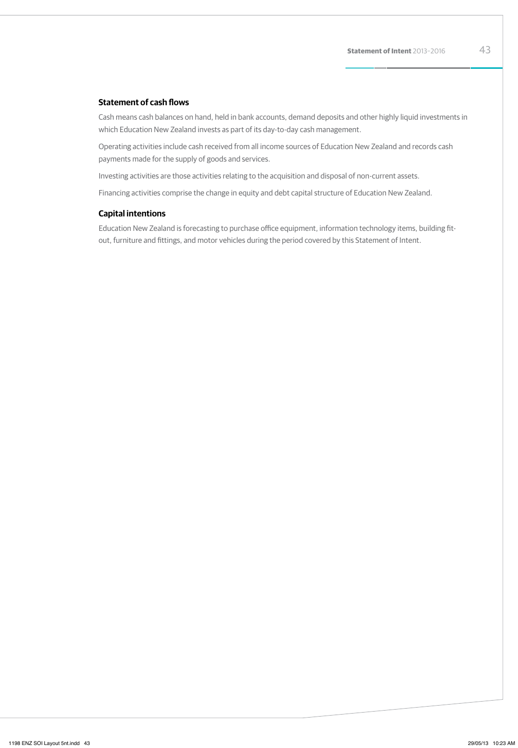### **Statement of cash flows**

Cash means cash balances on hand, held in bank accounts, demand deposits and other highly liquid investments in which Education New Zealand invests as part of its day-to-day cash management.

Operating activities include cash received from all income sources of Education New Zealand and records cash payments made for the supply of goods and services.

Investing activities are those activities relating to the acquisition and disposal of non-current assets.

Financing activities comprise the change in equity and debt capital structure of Education New Zealand.

### **Capital intentions**

Education New Zealand is forecasting to purchase office equipment, information technology items, building fitout, furniture and fittings, and motor vehicles during the period covered by this Statement of Intent.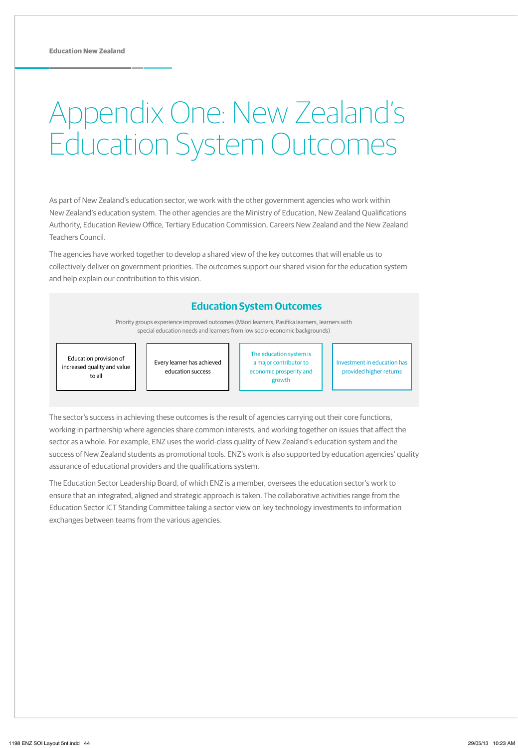# Appendix One: New Zealand's Education System Outcomes

As part of New Zealand's education sector, we work with the other government agencies who work within New Zealand's education system. The other agencies are the Ministry of Education, New Zealand Qualifications Authority, Education Review Office, Tertiary Education Commission, Careers New Zealand and the New Zealand Teachers Council.

The agencies have worked together to develop a shared view of the key outcomes that will enable us to collectively deliver on government priorities. The outcomes support our shared vision for the education system and help explain our contribution to this vision.

## **Education System Outcomes**

Priority groups experience improved outcomes (Māori learners, Pasifika learners, learners with special education needs and learners from low socio-economic backgrounds)

Education provision of increased quality and value to all

Every learner has achieved education success

The education system is a major contributor to economic prosperity and growth

Investment in education has provided higher returns

The sector's success in achieving these outcomes is the result of agencies carrying out their core functions, working in partnership where agencies share common interests, and working together on issues that affect the sector as a whole. For example, ENZ uses the world-class quality of New Zealand's education system and the success of New Zealand students as promotional tools. ENZ's work is also supported by education agencies' quality assurance of educational providers and the qualifications system.

The Education Sector Leadership Board, of which ENZ is a member, oversees the education sector's work to ensure that an integrated, aligned and strategic approach is taken. The collaborative activities range from the Education Sector ICT Standing Committee taking a sector view on key technology investments to information exchanges between teams from the various agencies.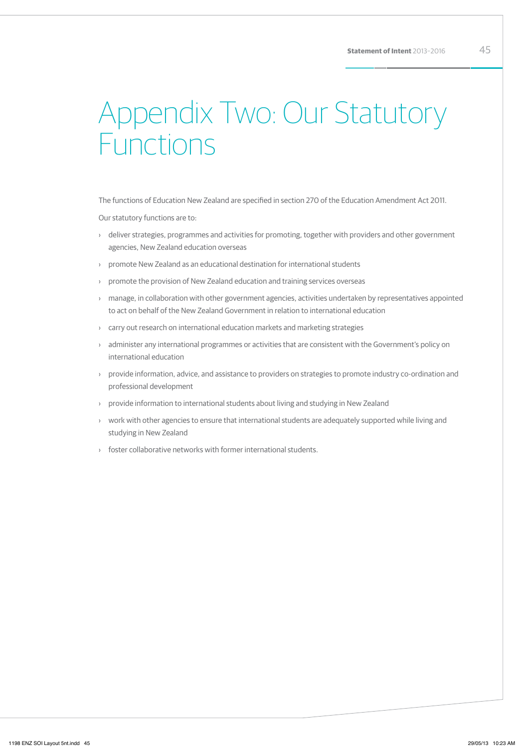# Appendix Two: Our Statutory Functions

The functions of Education New Zealand are specified in section 270 of the Education Amendment Act 2011.

Our statutory functions are to:

- › deliver strategies, programmes and activities for promoting, together with providers and other government agencies, New Zealand education overseas
- › promote New Zealand as an educational destination for international students
- › promote the provision of New Zealand education and training services overseas
- › manage, in collaboration with other government agencies, activities undertaken by representatives appointed to act on behalf of the New Zealand Government in relation to international education
- › carry out research on international education markets and marketing strategies
- › administer any international programmes or activities that are consistent with the Government's policy on international education
- › provide information, advice, and assistance to providers on strategies to promote industry co-ordination and professional development
- › provide information to international students about living and studying in New Zealand
- › work with other agencies to ensure that international students are adequately supported while living and studying in New Zealand
- › foster collaborative networks with former international students.